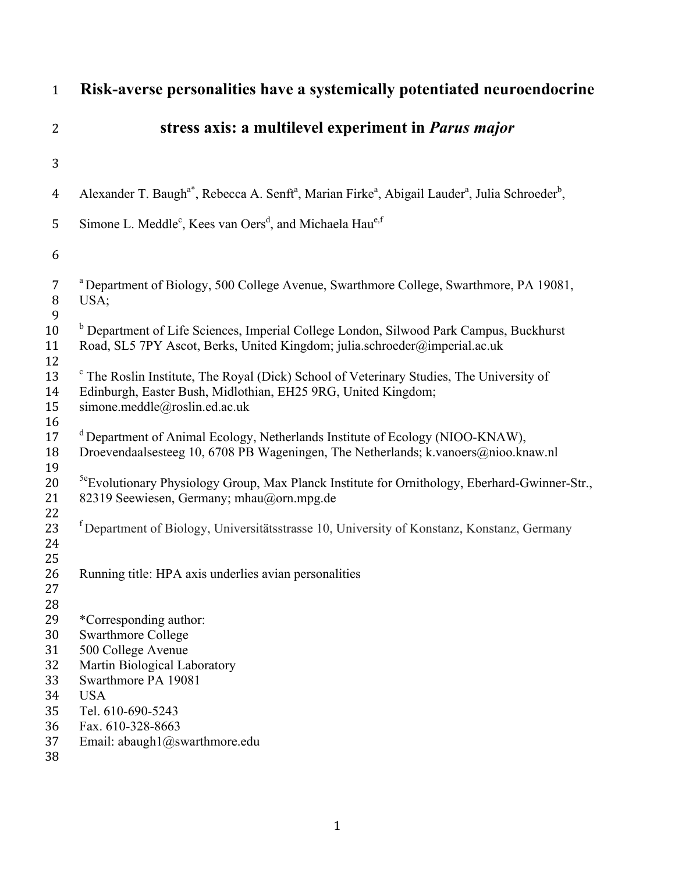| $\mathbf{1}$                  | Risk-averse personalities have a systemically potentiated neuroendocrine                                                                                                                              |
|-------------------------------|-------------------------------------------------------------------------------------------------------------------------------------------------------------------------------------------------------|
| $\overline{2}$                | stress axis: a multilevel experiment in <i>Parus major</i>                                                                                                                                            |
| 3                             |                                                                                                                                                                                                       |
| $\overline{4}$                | Alexander T. Baugh <sup>a*</sup> , Rebecca A. Senft <sup>a</sup> , Marian Firke <sup>a</sup> , Abigail Lauder <sup>a</sup> , Julia Schroeder <sup>b</sup> ,                                           |
| 5<br>6                        | Simone L. Meddle <sup>c</sup> , Kees van Oers <sup>d</sup> , and Michaela Hau <sup>e,f</sup>                                                                                                          |
| $\overline{7}$<br>$\, 8$<br>9 | <sup>a</sup> Department of Biology, 500 College Avenue, Swarthmore College, Swarthmore, PA 19081,<br>USA;                                                                                             |
| 10<br>11<br>12                | <sup>b</sup> Department of Life Sciences, Imperial College London, Silwood Park Campus, Buckhurst<br>Road, SL5 7PY Ascot, Berks, United Kingdom; julia.schroeder@imperial.ac.uk                       |
| 13<br>14<br>15<br>16          | <sup>c</sup> The Roslin Institute, The Royal (Dick) School of Veterinary Studies, The University of<br>Edinburgh, Easter Bush, Midlothian, EH25 9RG, United Kingdom;<br>simone.meddle@roslin.ed.ac.uk |
| 17<br>18<br>19                | <sup>d</sup> Department of Animal Ecology, Netherlands Institute of Ecology (NIOO-KNAW),<br>Droevendaalsesteeg 10, 6708 PB Wageningen, The Netherlands; k.vanoers@nioo.knaw.nl                        |
| 20<br>21                      | <sup>5e</sup> Evolutionary Physiology Group, Max Planck Institute for Ornithology, Eberhard-Gwinner-Str.,<br>82319 Seewiesen, Germany; mhau@orn.mpg.de                                                |
| 22<br>23<br>24                | <sup>f</sup> Department of Biology, Universitätsstrasse 10, University of Konstanz, Konstanz, Germany                                                                                                 |
| 25<br>26<br>27<br>28          | Running title: HPA axis underlies avian personalities                                                                                                                                                 |
| 29                            | *Corresponding author:                                                                                                                                                                                |
| 30                            | <b>Swarthmore College</b>                                                                                                                                                                             |
| 31                            | 500 College Avenue                                                                                                                                                                                    |
| 32                            | Martin Biological Laboratory                                                                                                                                                                          |
| 33                            | Swarthmore PA 19081                                                                                                                                                                                   |
| 34                            | <b>USA</b>                                                                                                                                                                                            |
| 35<br>36                      | Tel. 610-690-5243<br>Fax. 610-328-8663                                                                                                                                                                |
| 37<br>38                      | Email: abaugh1@swarthmore.edu                                                                                                                                                                         |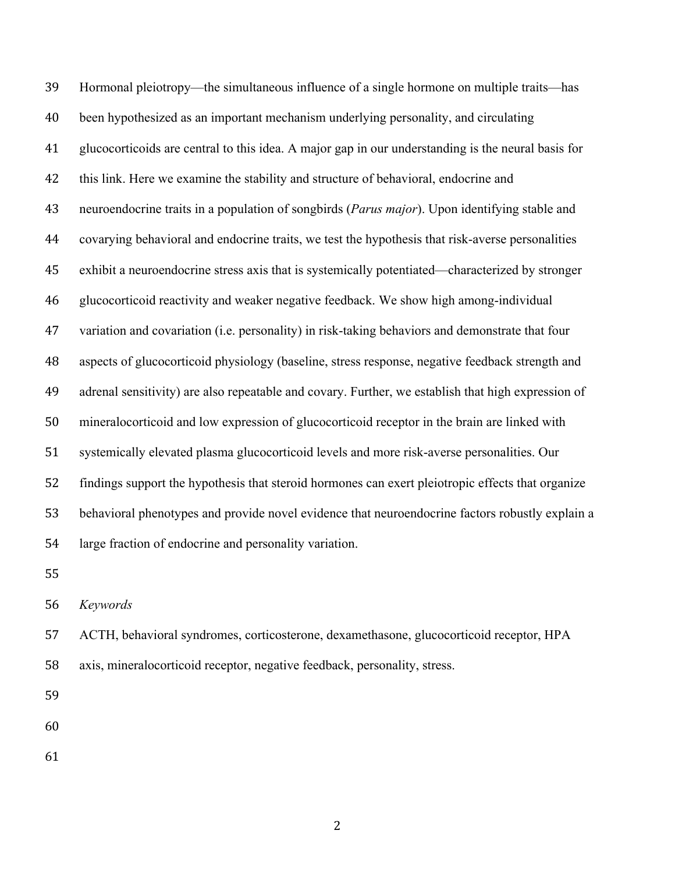Hormonal pleiotropy—the simultaneous influence of a single hormone on multiple traits—has been hypothesized as an important mechanism underlying personality, and circulating glucocorticoids are central to this idea. A major gap in our understanding is the neural basis for this link. Here we examine the stability and structure of behavioral, endocrine and neuroendocrine traits in a population of songbirds (*Parus major*). Upon identifying stable and covarying behavioral and endocrine traits, we test the hypothesis that risk-averse personalities exhibit a neuroendocrine stress axis that is systemically potentiated—characterized by stronger glucocorticoid reactivity and weaker negative feedback. We show high among-individual variation and covariation (i.e. personality) in risk-taking behaviors and demonstrate that four aspects of glucocorticoid physiology (baseline, stress response, negative feedback strength and adrenal sensitivity) are also repeatable and covary. Further, we establish that high expression of mineralocorticoid and low expression of glucocorticoid receptor in the brain are linked with systemically elevated plasma glucocorticoid levels and more risk-averse personalities. Our findings support the hypothesis that steroid hormones can exert pleiotropic effects that organize behavioral phenotypes and provide novel evidence that neuroendocrine factors robustly explain a large fraction of endocrine and personality variation.

*Keywords*

 ACTH, behavioral syndromes, corticosterone, dexamethasone, glucocorticoid receptor, HPA axis, mineralocorticoid receptor, negative feedback, personality, stress.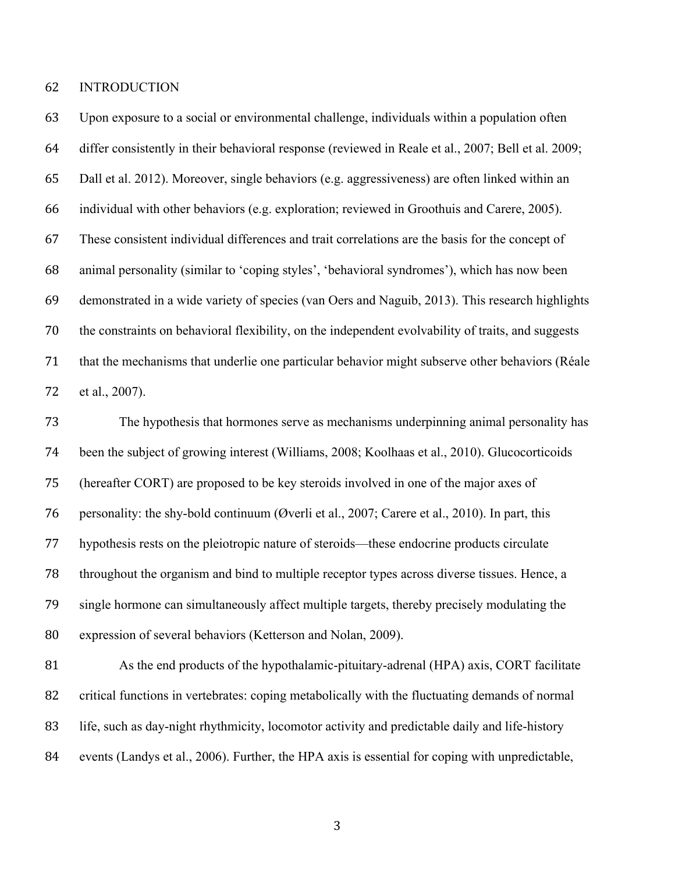INTRODUCTION

 Upon exposure to a social or environmental challenge, individuals within a population often differ consistently in their behavioral response (reviewed in Reale et al., 2007; Bell et al. 2009; Dall et al. 2012). Moreover, single behaviors (e.g. aggressiveness) are often linked within an individual with other behaviors (e.g. exploration; reviewed in Groothuis and Carere, 2005). These consistent individual differences and trait correlations are the basis for the concept of animal personality (similar to 'coping styles', 'behavioral syndromes'), which has now been demonstrated in a wide variety of species (van Oers and Naguib, 2013). This research highlights the constraints on behavioral flexibility, on the independent evolvability of traits, and suggests that the mechanisms that underlie one particular behavior might subserve other behaviors (Réale et al., 2007).

 The hypothesis that hormones serve as mechanisms underpinning animal personality has been the subject of growing interest (Williams, 2008; Koolhaas et al., 2010). Glucocorticoids (hereafter CORT) are proposed to be key steroids involved in one of the major axes of personality: the shy-bold continuum (Øverli et al., 2007; Carere et al., 2010). In part, this hypothesis rests on the pleiotropic nature of steroids—these endocrine products circulate throughout the organism and bind to multiple receptor types across diverse tissues. Hence, a single hormone can simultaneously affect multiple targets, thereby precisely modulating the expression of several behaviors (Ketterson and Nolan, 2009).

81 As the end products of the hypothalamic-pituitary-adrenal (HPA) axis, CORT facilitate critical functions in vertebrates: coping metabolically with the fluctuating demands of normal life, such as day-night rhythmicity, locomotor activity and predictable daily and life-history events (Landys et al., 2006). Further, the HPA axis is essential for coping with unpredictable,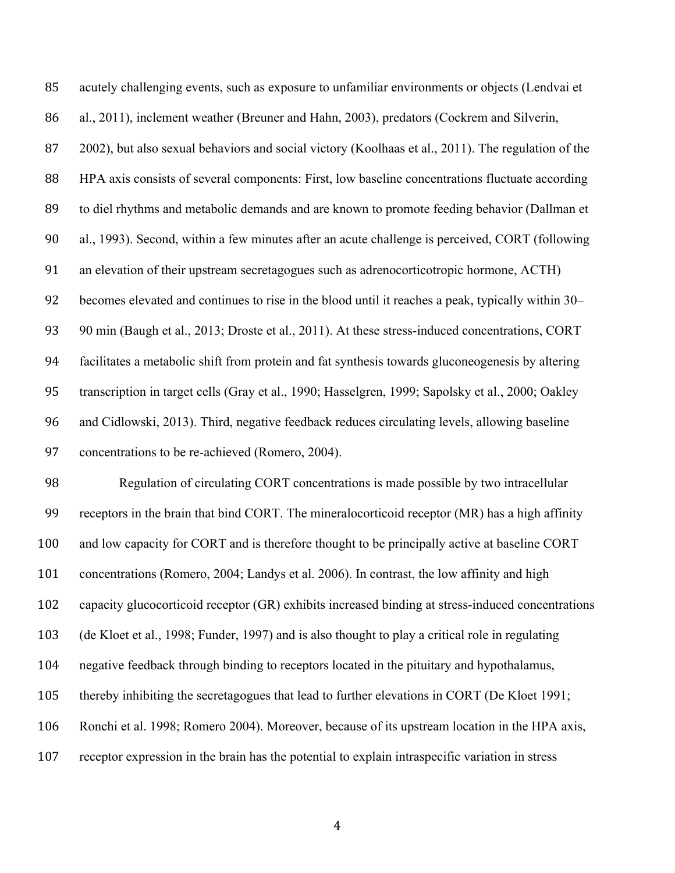acutely challenging events, such as exposure to unfamiliar environments or objects (Lendvai et al., 2011), inclement weather (Breuner and Hahn, 2003), predators (Cockrem and Silverin, 2002), but also sexual behaviors and social victory (Koolhaas et al., 2011). The regulation of the HPA axis consists of several components: First, low baseline concentrations fluctuate according to diel rhythms and metabolic demands and are known to promote feeding behavior (Dallman et al., 1993). Second, within a few minutes after an acute challenge is perceived, CORT (following an elevation of their upstream secretagogues such as adrenocorticotropic hormone, ACTH) becomes elevated and continues to rise in the blood until it reaches a peak, typically within 30– 90 min (Baugh et al., 2013; Droste et al., 2011). At these stress-induced concentrations, CORT facilitates a metabolic shift from protein and fat synthesis towards gluconeogenesis by altering transcription in target cells (Gray et al., 1990; Hasselgren, 1999; Sapolsky et al., 2000; Oakley and Cidlowski, 2013). Third, negative feedback reduces circulating levels, allowing baseline concentrations to be re-achieved (Romero, 2004).

 Regulation of circulating CORT concentrations is made possible by two intracellular receptors in the brain that bind CORT. The mineralocorticoid receptor (MR) has a high affinity and low capacity for CORT and is therefore thought to be principally active at baseline CORT concentrations (Romero, 2004; Landys et al. 2006). In contrast, the low affinity and high capacity glucocorticoid receptor (GR) exhibits increased binding at stress-induced concentrations (de Kloet et al., 1998; Funder, 1997) and is also thought to play a critical role in regulating negative feedback through binding to receptors located in the pituitary and hypothalamus, thereby inhibiting the secretagogues that lead to further elevations in CORT (De Kloet 1991; Ronchi et al. 1998; Romero 2004). Moreover, because of its upstream location in the HPA axis, receptor expression in the brain has the potential to explain intraspecific variation in stress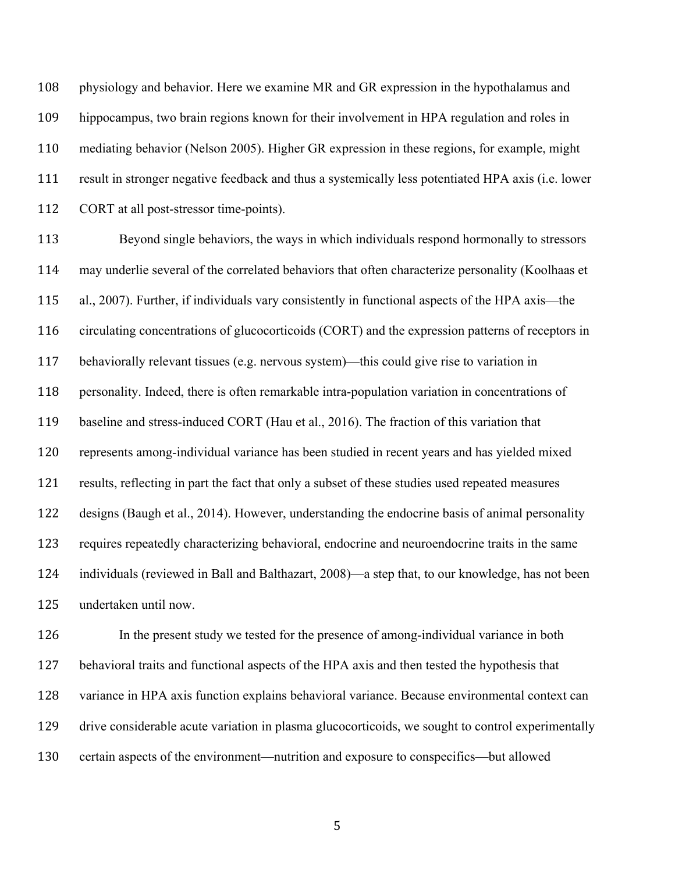physiology and behavior. Here we examine MR and GR expression in the hypothalamus and hippocampus, two brain regions known for their involvement in HPA regulation and roles in mediating behavior (Nelson 2005). Higher GR expression in these regions, for example, might result in stronger negative feedback and thus a systemically less potentiated HPA axis (i.e. lower CORT at all post-stressor time-points).

 Beyond single behaviors, the ways in which individuals respond hormonally to stressors may underlie several of the correlated behaviors that often characterize personality (Koolhaas et al., 2007). Further, if individuals vary consistently in functional aspects of the HPA axis—the circulating concentrations of glucocorticoids (CORT) and the expression patterns of receptors in behaviorally relevant tissues (e.g. nervous system)—this could give rise to variation in personality. Indeed, there is often remarkable intra-population variation in concentrations of baseline and stress-induced CORT (Hau et al., 2016). The fraction of this variation that represents among-individual variance has been studied in recent years and has yielded mixed results, reflecting in part the fact that only a subset of these studies used repeated measures designs (Baugh et al., 2014). However, understanding the endocrine basis of animal personality requires repeatedly characterizing behavioral, endocrine and neuroendocrine traits in the same individuals (reviewed in Ball and Balthazart, 2008)—a step that, to our knowledge, has not been undertaken until now.

 In the present study we tested for the presence of among-individual variance in both behavioral traits and functional aspects of the HPA axis and then tested the hypothesis that variance in HPA axis function explains behavioral variance. Because environmental context can drive considerable acute variation in plasma glucocorticoids, we sought to control experimentally certain aspects of the environment—nutrition and exposure to conspecifics—but allowed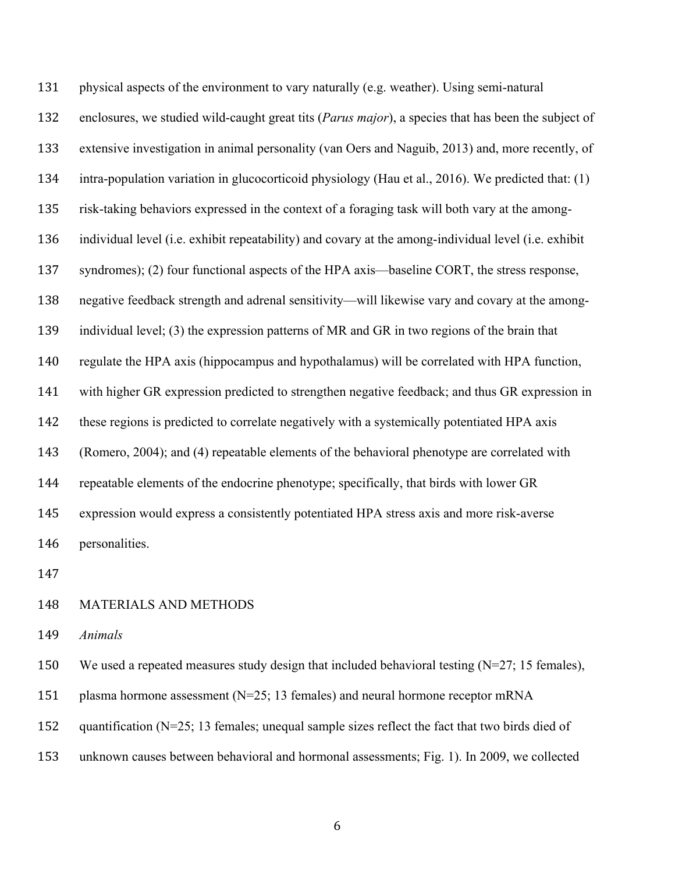physical aspects of the environment to vary naturally (e.g. weather). Using semi-natural enclosures, we studied wild-caught great tits (*Parus major*), a species that has been the subject of extensive investigation in animal personality (van Oers and Naguib, 2013) and, more recently, of intra-population variation in glucocorticoid physiology (Hau et al., 2016). We predicted that: (1) risk-taking behaviors expressed in the context of a foraging task will both vary at the among- individual level (i.e. exhibit repeatability) and covary at the among-individual level (i.e. exhibit syndromes); (2) four functional aspects of the HPA axis—baseline CORT, the stress response, negative feedback strength and adrenal sensitivity—will likewise vary and covary at the among- individual level; (3) the expression patterns of MR and GR in two regions of the brain that regulate the HPA axis (hippocampus and hypothalamus) will be correlated with HPA function, with higher GR expression predicted to strengthen negative feedback; and thus GR expression in these regions is predicted to correlate negatively with a systemically potentiated HPA axis (Romero, 2004); and (4) repeatable elements of the behavioral phenotype are correlated with repeatable elements of the endocrine phenotype; specifically, that birds with lower GR expression would express a consistently potentiated HPA stress axis and more risk-averse personalities.

## MATERIALS AND METHODS

*Animals*

We used a repeated measures study design that included behavioral testing (N=27; 15 females),

- plasma hormone assessment (N=25; 13 females) and neural hormone receptor mRNA
- 152 quantification (N=25; 13 females; unequal sample sizes reflect the fact that two birds died of
- unknown causes between behavioral and hormonal assessments; Fig. 1). In 2009, we collected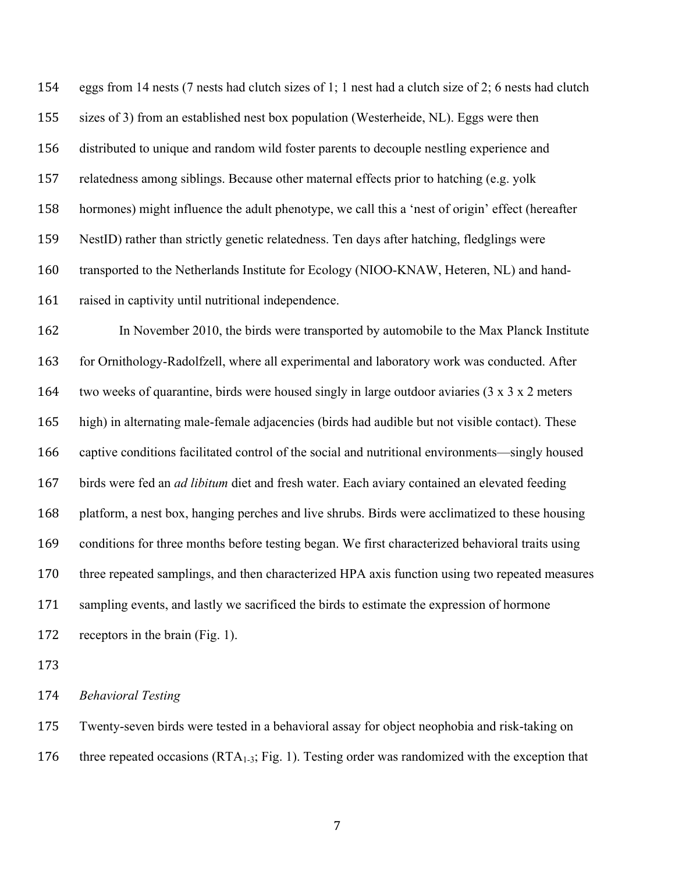eggs from 14 nests (7 nests had clutch sizes of 1; 1 nest had a clutch size of 2; 6 nests had clutch sizes of 3) from an established nest box population (Westerheide, NL). Eggs were then distributed to unique and random wild foster parents to decouple nestling experience and relatedness among siblings. Because other maternal effects prior to hatching (e.g. yolk hormones) might influence the adult phenotype, we call this a 'nest of origin' effect (hereafter NestID) rather than strictly genetic relatedness. Ten days after hatching, fledglings were transported to the Netherlands Institute for Ecology (NIOO-KNAW, Heteren, NL) and hand-raised in captivity until nutritional independence.

 In November 2010, the birds were transported by automobile to the Max Planck Institute 163 for Ornithology-Radolfzell, where all experimental and laboratory work was conducted. After two weeks of quarantine, birds were housed singly in large outdoor aviaries (3 x 3 x 2 meters high) in alternating male-female adjacencies (birds had audible but not visible contact). These captive conditions facilitated control of the social and nutritional environments—singly housed birds were fed an *ad libitum* diet and fresh water. Each aviary contained an elevated feeding platform, a nest box, hanging perches and live shrubs. Birds were acclimatized to these housing conditions for three months before testing began. We first characterized behavioral traits using three repeated samplings, and then characterized HPA axis function using two repeated measures sampling events, and lastly we sacrificed the birds to estimate the expression of hormone receptors in the brain (Fig. 1).

*Behavioral Testing* 

 Twenty-seven birds were tested in a behavioral assay for object neophobia and risk-taking on 176 three repeated occasions  $(RTA_{1-3}; Fig. 1)$ . Testing order was randomized with the exception that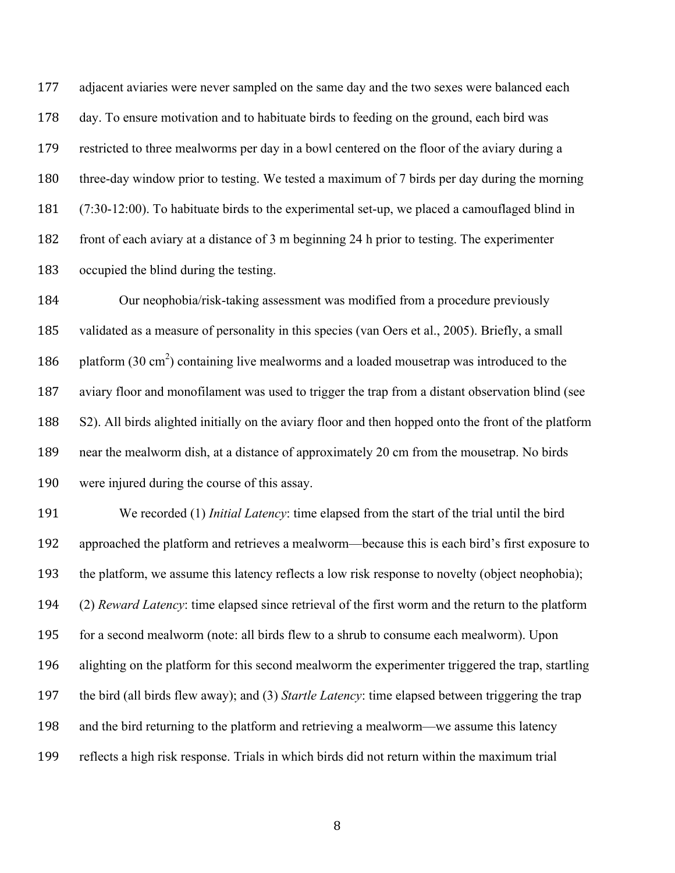adjacent aviaries were never sampled on the same day and the two sexes were balanced each day. To ensure motivation and to habituate birds to feeding on the ground, each bird was restricted to three mealworms per day in a bowl centered on the floor of the aviary during a three-day window prior to testing. We tested a maximum of 7 birds per day during the morning (7:30-12:00). To habituate birds to the experimental set-up, we placed a camouflaged blind in front of each aviary at a distance of 3 m beginning 24 h prior to testing. The experimenter occupied the blind during the testing.

 Our neophobia/risk-taking assessment was modified from a procedure previously validated as a measure of personality in this species (van Oers et al., 2005). Briefly, a small 186 platform  $(30 \text{ cm}^2)$  containing live mealworms and a loaded mousetrap was introduced to the aviary floor and monofilament was used to trigger the trap from a distant observation blind (see S2). All birds alighted initially on the aviary floor and then hopped onto the front of the platform near the mealworm dish, at a distance of approximately 20 cm from the mousetrap. No birds were injured during the course of this assay.

 We recorded (1) *Initial Latency*: time elapsed from the start of the trial until the bird approached the platform and retrieves a mealworm—because this is each bird's first exposure to the platform, we assume this latency reflects a low risk response to novelty (object neophobia); (2) *Reward Latency*: time elapsed since retrieval of the first worm and the return to the platform for a second mealworm (note: all birds flew to a shrub to consume each mealworm). Upon alighting on the platform for this second mealworm the experimenter triggered the trap, startling the bird (all birds flew away); and (3) *Startle Latency*: time elapsed between triggering the trap and the bird returning to the platform and retrieving a mealworm—we assume this latency reflects a high risk response. Trials in which birds did not return within the maximum trial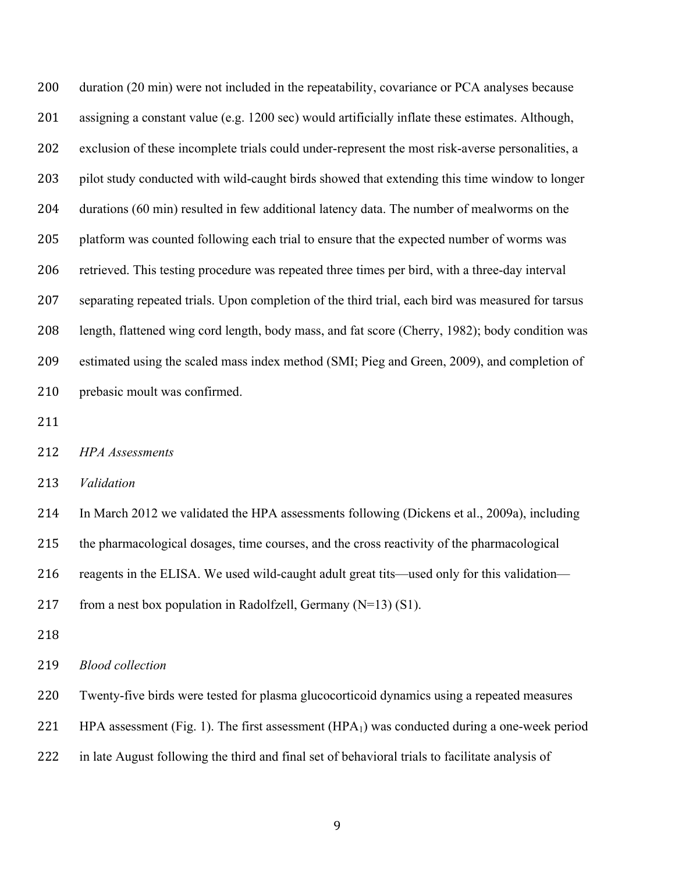duration (20 min) were not included in the repeatability, covariance or PCA analyses because assigning a constant value (e.g. 1200 sec) would artificially inflate these estimates. Although, exclusion of these incomplete trials could under-represent the most risk-averse personalities, a pilot study conducted with wild-caught birds showed that extending this time window to longer durations (60 min) resulted in few additional latency data. The number of mealworms on the platform was counted following each trial to ensure that the expected number of worms was retrieved. This testing procedure was repeated three times per bird, with a three-day interval separating repeated trials. Upon completion of the third trial, each bird was measured for tarsus length, flattened wing cord length, body mass, and fat score (Cherry, 1982); body condition was estimated using the scaled mass index method (SMI; Pieg and Green, 2009), and completion of prebasic moult was confirmed.

- 
- *HPA Assessments*

*Validation* 

 In March 2012 we validated the HPA assessments following (Dickens et al., 2009a), including the pharmacological dosages, time courses, and the cross reactivity of the pharmacological 216 reagents in the ELISA. We used wild-caught adult great tits—used only for this validation— 217 from a nest box population in Radolfzell, Germany  $(N=13)$  (S1).

*Blood collection*

Twenty-five birds were tested for plasma glucocorticoid dynamics using a repeated measures

221 HPA assessment (Fig. 1). The first assessment (HPA $_1$ ) was conducted during a one-week period

in late August following the third and final set of behavioral trials to facilitate analysis of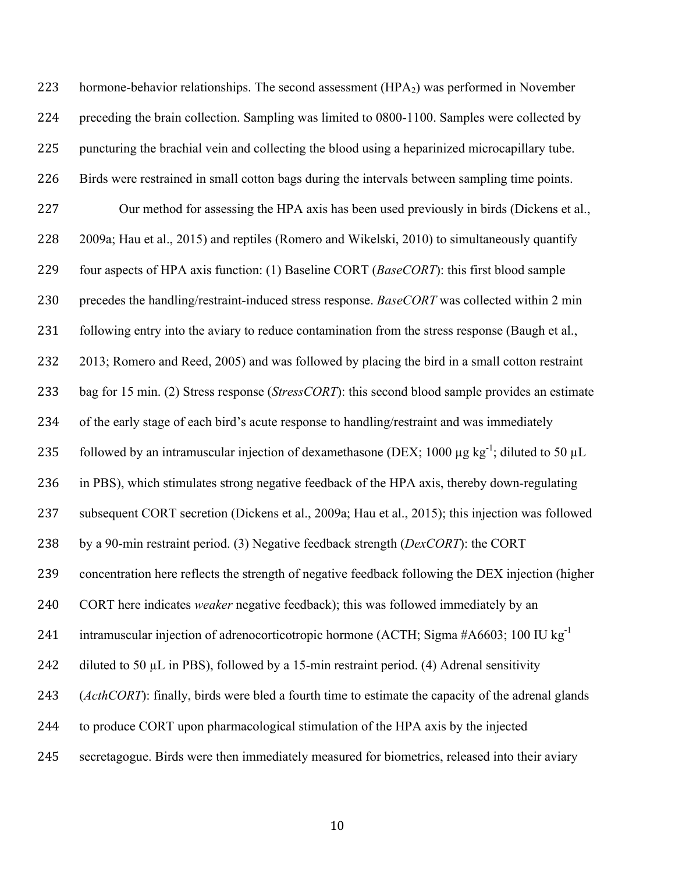223 hormone-behavior relationships. The second assessment  $(HPA<sub>2</sub>)$  was performed in November preceding the brain collection. Sampling was limited to 0800-1100. Samples were collected by puncturing the brachial vein and collecting the blood using a heparinized microcapillary tube. Birds were restrained in small cotton bags during the intervals between sampling time points. Our method for assessing the HPA axis has been used previously in birds (Dickens et al., 2009a; Hau et al., 2015) and reptiles (Romero and Wikelski, 2010) to simultaneously quantify four aspects of HPA axis function: (1) Baseline CORT (*BaseCORT*): this first blood sample precedes the handling/restraint-induced stress response. *BaseCORT* was collected within 2 min 231 following entry into the aviary to reduce contamination from the stress response (Baugh et al., 2013; Romero and Reed, 2005) and was followed by placing the bird in a small cotton restraint bag for 15 min. (2) Stress response (*StressCORT*): this second blood sample provides an estimate of the early stage of each bird's acute response to handling/restraint and was immediately 235 followed by an intramuscular injection of dexamethasone (DEX; 1000  $\mu$ g kg<sup>-1</sup>; diluted to 50  $\mu$ L in PBS), which stimulates strong negative feedback of the HPA axis, thereby down-regulating subsequent CORT secretion (Dickens et al., 2009a; Hau et al., 2015); this injection was followed by a 90-min restraint period. (3) Negative feedback strength (*DexCORT*): the CORT concentration here reflects the strength of negative feedback following the DEX injection (higher CORT here indicates *weaker* negative feedback); this was followed immediately by an 241 intramuscular injection of adrenocorticotropic hormone (ACTH; Sigma #A6603; 100 IU kg<sup>-1</sup> 242 diluted to 50  $\mu$ L in PBS), followed by a 15-min restraint period. (4) Adrenal sensitivity (*ActhCORT*): finally, birds were bled a fourth time to estimate the capacity of the adrenal glands to produce CORT upon pharmacological stimulation of the HPA axis by the injected secretagogue. Birds were then immediately measured for biometrics, released into their aviary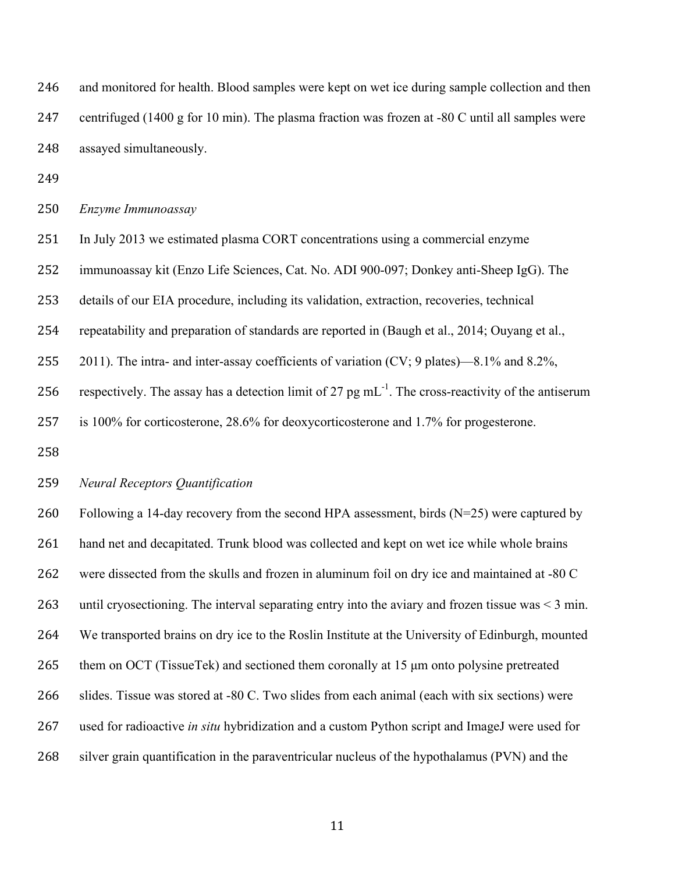and monitored for health. Blood samples were kept on wet ice during sample collection and then centrifuged (1400 g for 10 min). The plasma fraction was frozen at -80 C until all samples were assayed simultaneously.

*Enzyme Immunoassay*

In July 2013 we estimated plasma CORT concentrations using a commercial enzyme

immunoassay kit (Enzo Life Sciences, Cat. No. ADI 900-097; Donkey anti-Sheep IgG). The

details of our EIA procedure, including its validation, extraction, recoveries, technical

repeatability and preparation of standards are reported in (Baugh et al., 2014; Ouyang et al.,

255 2011). The intra- and inter-assay coefficients of variation  $(CV; 9$  plates)—8.1% and 8.2%,

256 respectively. The assay has a detection limit of 27 pg  $mL^{-1}$ . The cross-reactivity of the antiserum

is 100% for corticosterone, 28.6% for deoxycorticosterone and 1.7% for progesterone.

## *Neural Receptors Quantification*

 Following a 14-day recovery from the second HPA assessment, birds (N=25) were captured by hand net and decapitated. Trunk blood was collected and kept on wet ice while whole brains were dissected from the skulls and frozen in aluminum foil on dry ice and maintained at -80 C until cryosectioning. The interval separating entry into the aviary and frozen tissue was < 3 min. We transported brains on dry ice to the Roslin Institute at the University of Edinburgh, mounted 265 them on OCT (TissueTek) and sectioned them coronally at 15 µm onto polysine pretreated slides. Tissue was stored at -80 C. Two slides from each animal (each with six sections) were used for radioactive *in situ* hybridization and a custom Python script and ImageJ were used for silver grain quantification in the paraventricular nucleus of the hypothalamus (PVN) and the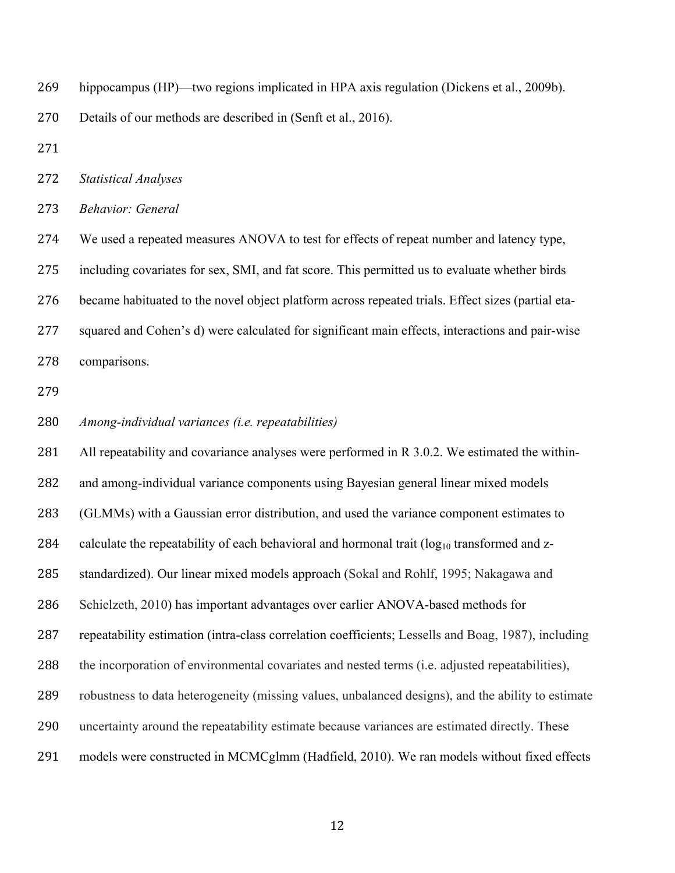- hippocampus (HP)—two regions implicated in HPA axis regulation (Dickens et al., 2009b).
- Details of our methods are described in (Senft et al., 2016).
- 
- *Statistical Analyses*
- *Behavior: General*

 We used a repeated measures ANOVA to test for effects of repeat number and latency type, including covariates for sex, SMI, and fat score. This permitted us to evaluate whether birds became habituated to the novel object platform across repeated trials. Effect sizes (partial eta- squared and Cohen's d) were calculated for significant main effects, interactions and pair-wise comparisons.

- 
- *Among-individual variances (i.e. repeatabilities)*

 All repeatability and covariance analyses were performed in R 3.0.2. We estimated the within- and among-individual variance components using Bayesian general linear mixed models (GLMMs) with a Gaussian error distribution, and used the variance component estimates to 284 calculate the repeatability of each behavioral and hormonal trait  $(\log_{10} t \text{ransformed and } z$ - standardized). Our linear mixed models approach (Sokal and Rohlf, 1995; Nakagawa and Schielzeth, 2010) has important advantages over earlier ANOVA-based methods for repeatability estimation (intra-class correlation coefficients; Lessells and Boag, 1987), including the incorporation of environmental covariates and nested terms (i.e. adjusted repeatabilities), robustness to data heterogeneity (missing values, unbalanced designs), and the ability to estimate uncertainty around the repeatability estimate because variances are estimated directly. These models were constructed in MCMCglmm (Hadfield, 2010). We ran models without fixed effects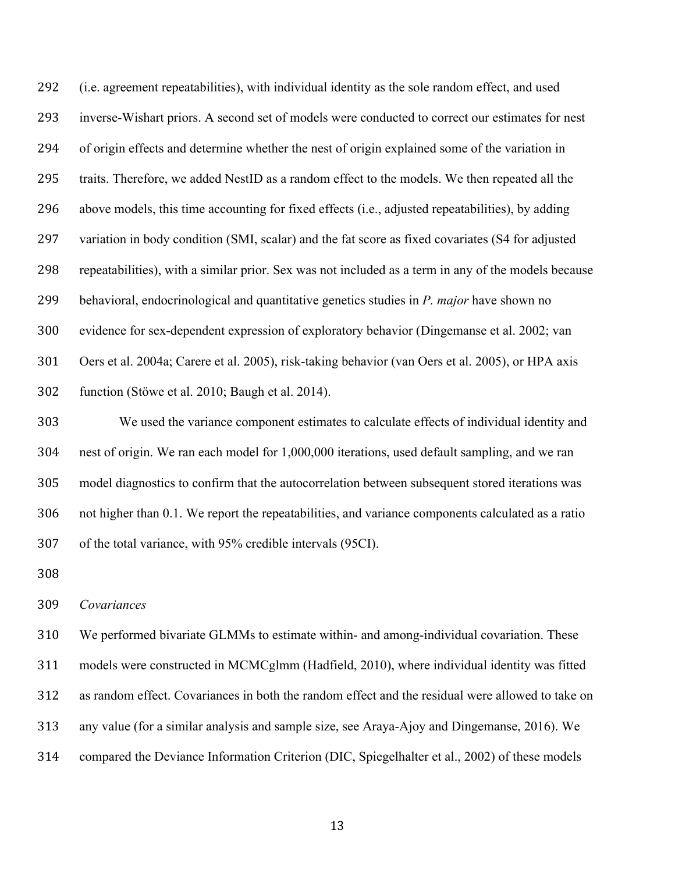(i.e. agreement repeatabilities), with individual identity as the sole random effect, and used inverse-Wishart priors. A second set of models were conducted to correct our estimates for nest of origin effects and determine whether the nest of origin explained some of the variation in traits. Therefore, we added NestID as a random effect to the models. We then repeated all the above models, this time accounting for fixed effects (i.e., adjusted repeatabilities), by adding variation in body condition (SMI, scalar) and the fat score as fixed covariates (S4 for adjusted repeatabilities), with a similar prior. Sex was not included as a term in any of the models because behavioral, endocrinological and quantitative genetics studies in *P. major* have shown no evidence for sex-dependent expression of exploratory behavior (Dingemanse et al. 2002; van Oers et al. 2004a; Carere et al. 2005), risk-taking behavior (van Oers et al. 2005), or HPA axis function (Stöwe et al. 2010; Baugh et al. 2014).

 We used the variance component estimates to calculate effects of individual identity and nest of origin. We ran each model for 1,000,000 iterations, used default sampling, and we ran model diagnostics to confirm that the autocorrelation between subsequent stored iterations was not higher than 0.1. We report the repeatabilities, and variance components calculated as a ratio of the total variance, with 95% credible intervals (95CI).

*Covariances*

 We performed bivariate GLMMs to estimate within- and among-individual covariation. These models were constructed in MCMCglmm (Hadfield, 2010), where individual identity was fitted as random effect. Covariances in both the random effect and the residual were allowed to take on any value (for a similar analysis and sample size, see Araya-Ajoy and Dingemanse, 2016). We compared the Deviance Information Criterion (DIC, Spiegelhalter et al., 2002) of these models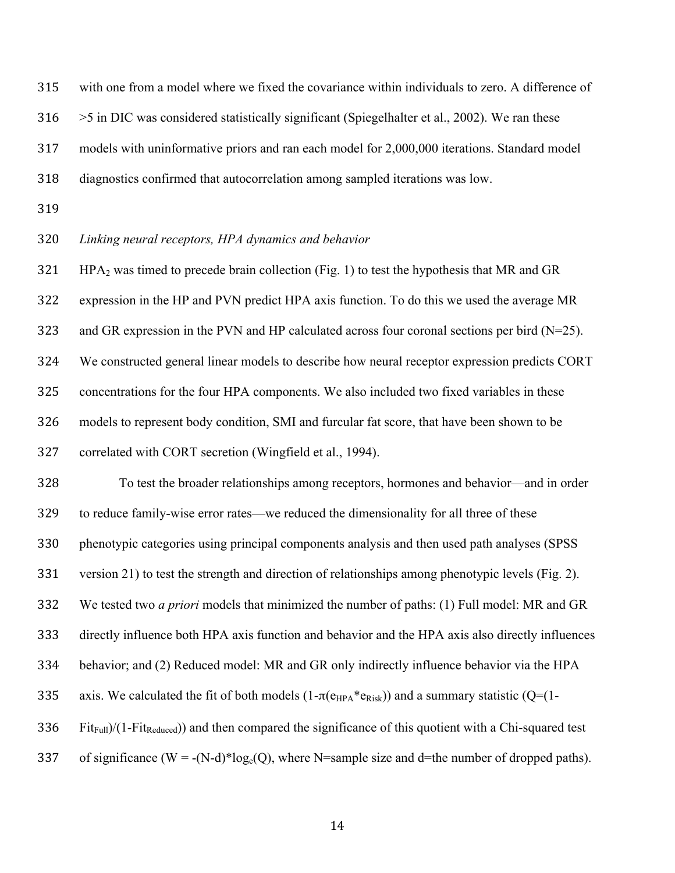with one from a model where we fixed the covariance within individuals to zero. A difference of

>5 in DIC was considered statistically significant (Spiegelhalter et al., 2002). We ran these

models with uninformative priors and ran each model for 2,000,000 iterations. Standard model

diagnostics confirmed that autocorrelation among sampled iterations was low.

#### *Linking neural receptors, HPA dynamics and behavior*

HPA<sub>2</sub> was timed to precede brain collection (Fig. 1) to test the hypothesis that MR and GR

expression in the HP and PVN predict HPA axis function. To do this we used the average MR

and GR expression in the PVN and HP calculated across four coronal sections per bird (N=25).

We constructed general linear models to describe how neural receptor expression predicts CORT

concentrations for the four HPA components. We also included two fixed variables in these

models to represent body condition, SMI and furcular fat score, that have been shown to be

correlated with CORT secretion (Wingfield et al., 1994).

To test the broader relationships among receptors, hormones and behavior—and in order

to reduce family-wise error rates—we reduced the dimensionality for all three of these

phenotypic categories using principal components analysis and then used path analyses (SPSS

version 21) to test the strength and direction of relationships among phenotypic levels (Fig. 2).

We tested two *a priori* models that minimized the number of paths: (1) Full model: MR and GR

directly influence both HPA axis function and behavior and the HPA axis also directly influences

behavior; and (2) Reduced model: MR and GR only indirectly influence behavior via the HPA

335 axis. We calculated the fit of both models  $(1-\pi(e_{HPA}*e_{Risk}))$  and a summary statistic  $(Q=(1-e_{HPA}*e_{Risk}))$ 

Fit<sub>Full</sub>)/(1-Fit<sub>Reduced</sub>)) and then compared the significance of this quotient with a Chi-squared test

337 of significance (W = -(N-d)\*log<sub>e</sub>(Q), where N=sample size and d=the number of dropped paths).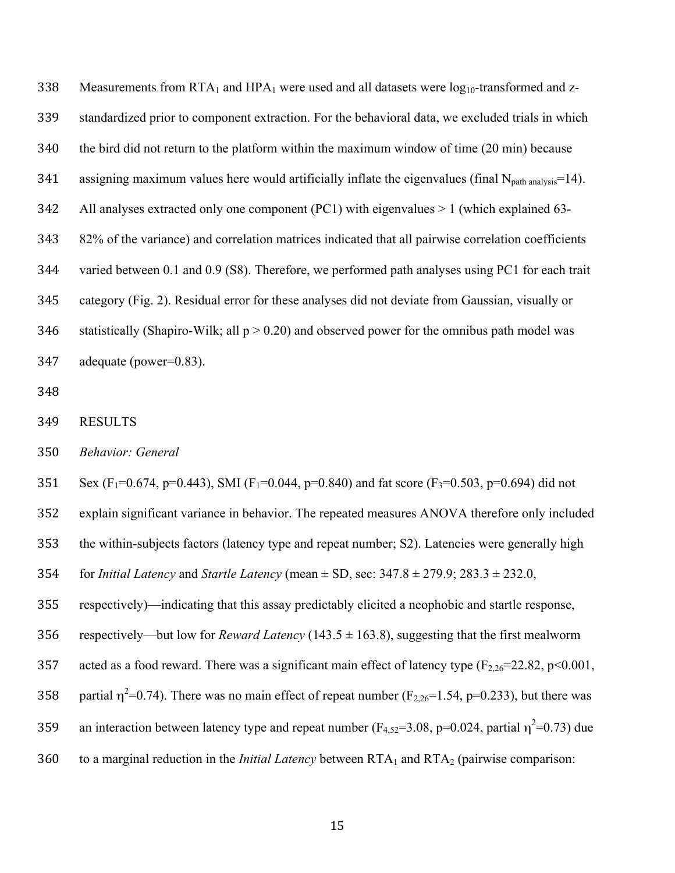338 Measurements from  $RTA_1$  and  $HPA_1$  were used and all datasets were  $log_{10}$ -transformed and z- standardized prior to component extraction. For the behavioral data, we excluded trials in which the bird did not return to the platform within the maximum window of time (20 min) because 341 assigning maximum values here would artificially inflate the eigenvalues (final  $N_{path\, analysis}=14$ ). All analyses extracted only one component (PC1) with eigenvalues > 1 (which explained 63- 82% of the variance) and correlation matrices indicated that all pairwise correlation coefficients varied between 0.1 and 0.9 (S8). Therefore, we performed path analyses using PC1 for each trait category (Fig. 2). Residual error for these analyses did not deviate from Gaussian, visually or 346 statistically (Shapiro-Wilk; all  $p > 0.20$ ) and observed power for the omnibus path model was adequate (power=0.83).

- 
- RESULTS
- *Behavior: General*

351 Sex (F<sub>1</sub>=0.674, p=0.443), SMI (F<sub>1</sub>=0.044, p=0.840) and fat score (F<sub>3</sub>=0.503, p=0.694) did not

explain significant variance in behavior. The repeated measures ANOVA therefore only included

the within-subjects factors (latency type and repeat number; S2). Latencies were generally high

for *Initial Latency* and *Startle Latency* (mean ± SD, sec: 347.8 ± 279.9; 283.3 ± 232.0,

respectively)—indicating that this assay predictably elicited a neophobic and startle response,

356 respectively—but low for *Reward Latency* (143.5  $\pm$  163.8), suggesting that the first mealworm

357 acted as a food reward. There was a significant main effect of latency type  $(F_{2,26}=22.82, p<0.001,$ 

358 partial  $\eta^2$ =0.74). There was no main effect of repeat number (F<sub>2,26</sub>=1.54, p=0.233), but there was

359 an interaction between latency type and repeat number ( $F_{4,52}$ =3.08, p=0.024, partial  $\eta^2$ =0.73) due

360 to a marginal reduction in the *Initial Latency* between RTA<sub>1</sub> and RTA<sub>2</sub> (pairwise comparison: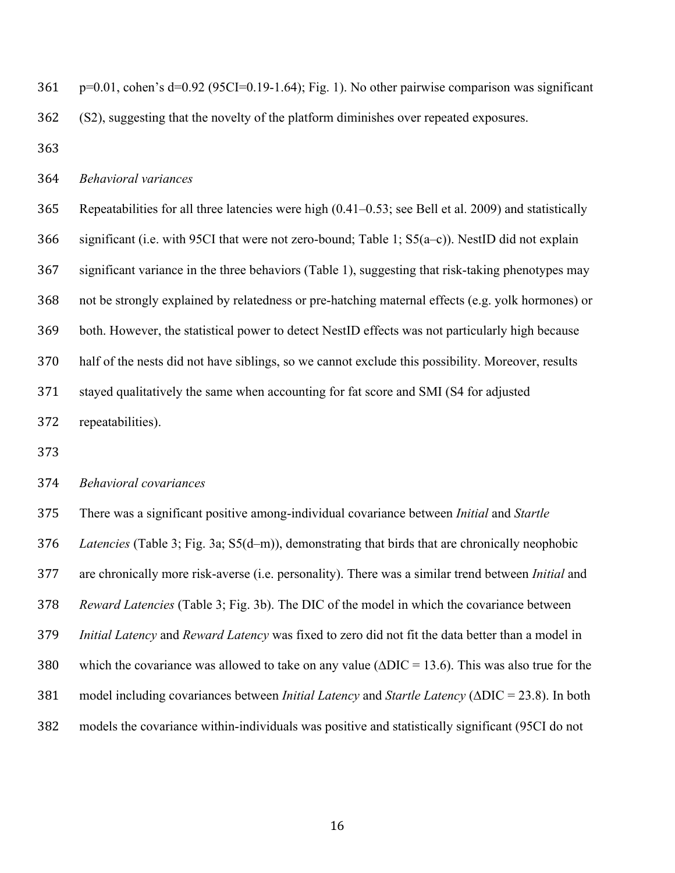p=0.01, cohen's d=0.92 (95CI=0.19-1.64); Fig. 1). No other pairwise comparison was significant (S2), suggesting that the novelty of the platform diminishes over repeated exposures.

## *Behavioral variances*

 Repeatabilities for all three latencies were high (0.41–0.53; see Bell et al. 2009) and statistically significant (i.e. with 95CI that were not zero-bound; Table 1; S5(a–c)). NestID did not explain significant variance in the three behaviors (Table 1), suggesting that risk-taking phenotypes may not be strongly explained by relatedness or pre-hatching maternal effects (e.g. yolk hormones) or both. However, the statistical power to detect NestID effects was not particularly high because half of the nests did not have siblings, so we cannot exclude this possibility. Moreover, results stayed qualitatively the same when accounting for fat score and SMI (S4 for adjusted repeatabilities).

## *Behavioral covariances*

 There was a significant positive among-individual covariance between *Initial* and *Startle Latencies* (Table 3; Fig. 3a; S5(d–m)), demonstrating that birds that are chronically neophobic are chronically more risk-averse (i.e. personality). There was a similar trend between *Initial* and *Reward Latencies* (Table 3; Fig. 3b). The DIC of the model in which the covariance between *Initial Latency* and *Reward Latency* was fixed to zero did not fit the data better than a model in which the covariance was allowed to take on any value (∆DIC = 13.6). This was also true for the model including covariances between *Initial Latency* and *Startle Latency* (∆DIC = 23.8). In both models the covariance within-individuals was positive and statistically significant (95CI do not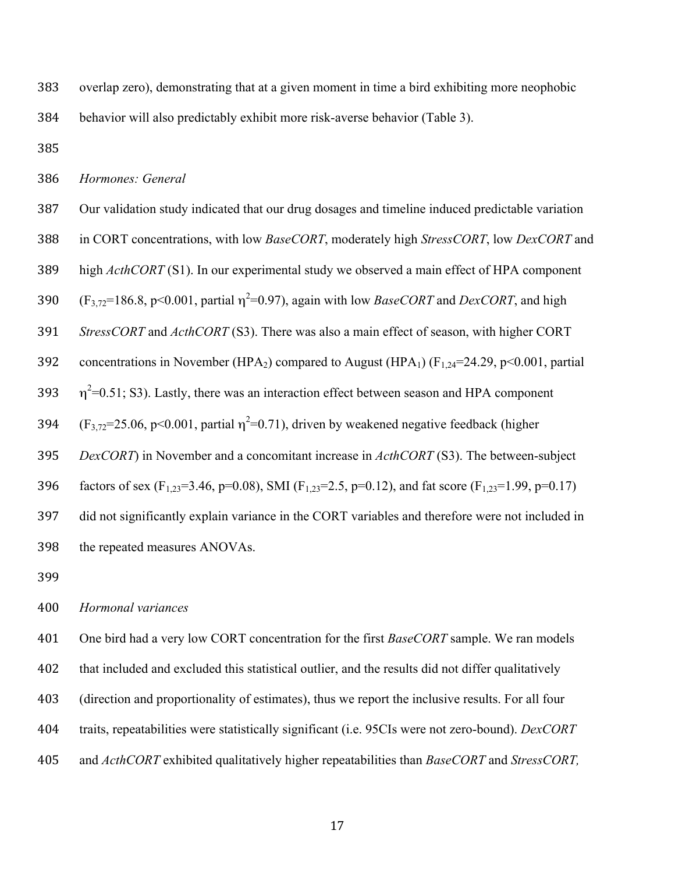overlap zero), demonstrating that at a given moment in time a bird exhibiting more neophobic

behavior will also predictably exhibit more risk-averse behavior (Table 3).

#### *Hormones: General*

- Our validation study indicated that our drug dosages and timeline induced predictable variation
- in CORT concentrations, with low *BaseCORT*, moderately high *StressCORT*, low *DexCORT* and

high *ActhCORT* (S1). In our experimental study we observed a main effect of HPA component

390  $(F_{3,72}=186.8, p<0.001,$  partial  $\eta^2=0.97$ ), again with low *BaseCORT* and *DexCORT*, and high

*StressCORT* and *ActhCORT* (S3). There was also a main effect of season, with higher CORT

392 concentrations in November (HPA<sub>2</sub>) compared to August (HPA<sub>1</sub>) ( $F_{1,24}$ =24.29, p<0.001, partial

393  $\eta^2$ =0.51; S3). Lastly, there was an interaction effect between season and HPA component

394  $(F_{3,72}=25.06, p<0.001,$  partial  $\eta^2=0.71$ ), driven by weakened negative feedback (higher

*DexCORT*) in November and a concomitant increase in *ActhCORT* (S3). The between-subject

396 factors of sex (F<sub>1,23</sub>=3.46, p=0.08), SMI (F<sub>1,23</sub>=2.5, p=0.12), and fat score (F<sub>1,23</sub>=1.99, p=0.17)

did not significantly explain variance in the CORT variables and therefore were not included in

the repeated measures ANOVAs.

## *Hormonal variances*

 One bird had a very low CORT concentration for the first *BaseCORT* sample. We ran models that included and excluded this statistical outlier, and the results did not differ qualitatively (direction and proportionality of estimates), thus we report the inclusive results. For all four traits, repeatabilities were statistically significant (i.e. 95CIs were not zero-bound). *DexCORT* and *ActhCORT* exhibited qualitatively higher repeatabilities than *BaseCORT* and *StressCORT,*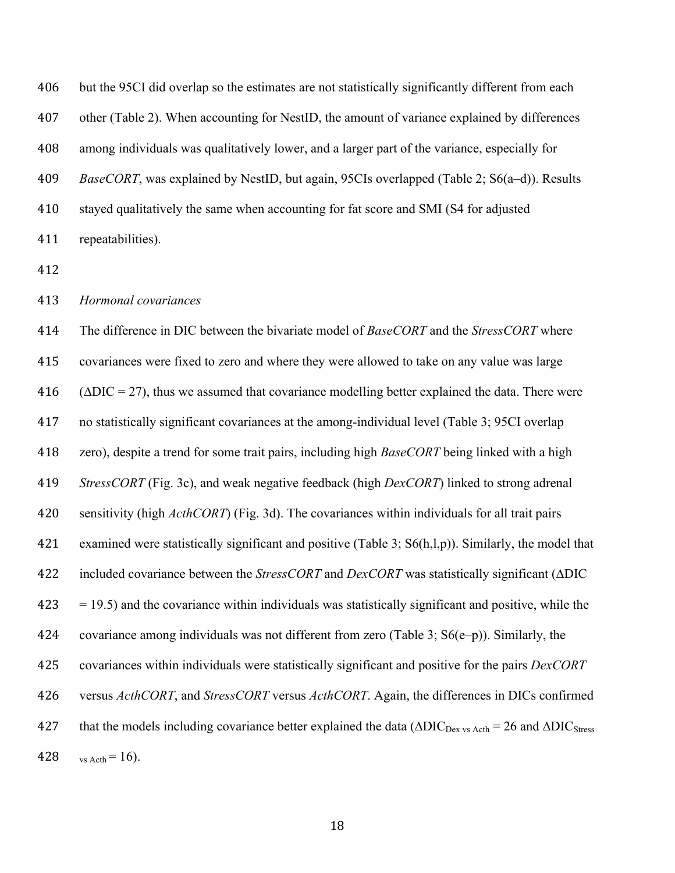but the 95CI did overlap so the estimates are not statistically significantly different from each other (Table 2). When accounting for NestID, the amount of variance explained by differences among individuals was qualitatively lower, and a larger part of the variance, especially for *BaseCORT*, was explained by NestID, but again, 95CIs overlapped (Table 2; S6(a–d)). Results stayed qualitatively the same when accounting for fat score and SMI (S4 for adjusted repeatabilities).

### *Hormonal covariances*

 The difference in DIC between the bivariate model of *BaseCORT* and the *StressCORT* where covariances were fixed to zero and where they were allowed to take on any value was large ( $\triangle DIC = 27$ ), thus we assumed that covariance modelling better explained the data. There were no statistically significant covariances at the among-individual level (Table 3; 95CI overlap zero), despite a trend for some trait pairs, including high *BaseCORT* being linked with a high *StressCORT* (Fig. 3c), and weak negative feedback (high *DexCORT*) linked to strong adrenal sensitivity (high *ActhCORT*) (Fig. 3d). The covariances within individuals for all trait pairs examined were statistically significant and positive (Table 3; S6(h,l,p)). Similarly, the model that included covariance between the *StressCORT* and *DexCORT* was statistically significant (∆DIC  $423 = 19.5$ ) and the covariance within individuals was statistically significant and positive, while the covariance among individuals was not different from zero (Table 3; S6(e–p)). Similarly, the covariances within individuals were statistically significant and positive for the pairs *DexCORT*  versus *ActhCORT*, and *StressCORT* versus *ActhCORT*. Again, the differences in DICs confirmed 427 that the models including covariance better explained the data ( $\triangle DIC_{\text{Dex vs Acth}} = 26$  and  $\triangle DIC_{\text{Stress}}$ 428 vs Acth = 16).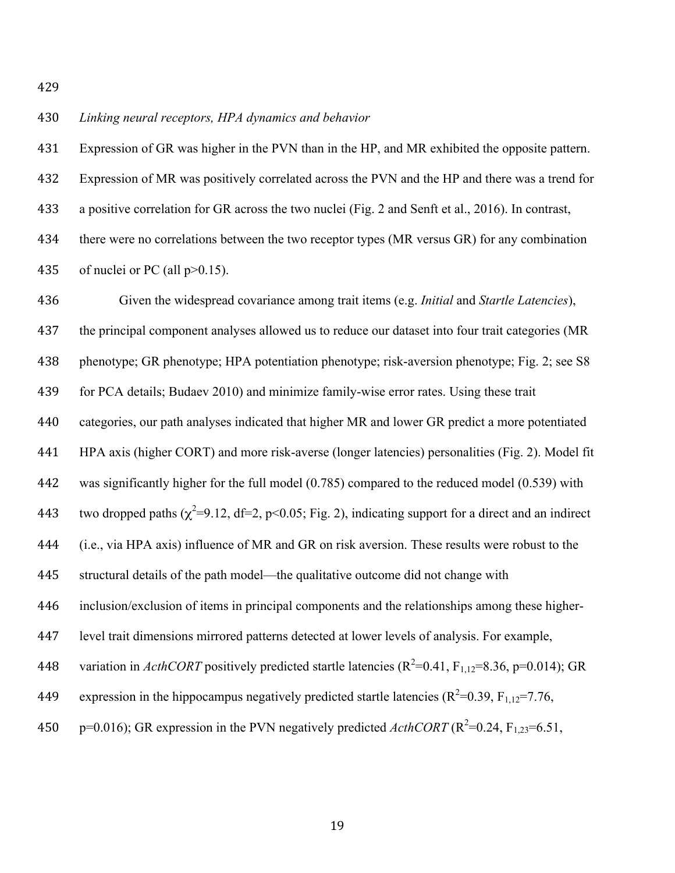## *Linking neural receptors, HPA dynamics and behavior*

Expression of GR was higher in the PVN than in the HP, and MR exhibited the opposite pattern.

Expression of MR was positively correlated across the PVN and the HP and there was a trend for

a positive correlation for GR across the two nuclei (Fig. 2 and Senft et al., 2016). In contrast,

 there were no correlations between the two receptor types (MR versus GR) for any combination 435 of nuclei or PC (all  $p > 0.15$ ).

 Given the widespread covariance among trait items (e.g. *Initial* and *Startle Latencies*), the principal component analyses allowed us to reduce our dataset into four trait categories (MR phenotype; GR phenotype; HPA potentiation phenotype; risk-aversion phenotype; Fig. 2; see S8 for PCA details; Budaev 2010) and minimize family-wise error rates. Using these trait categories, our path analyses indicated that higher MR and lower GR predict a more potentiated HPA axis (higher CORT) and more risk-averse (longer latencies) personalities (Fig. 2). Model fit was significantly higher for the full model (0.785) compared to the reduced model (0.539) with 443 two dropped paths  $(\chi^2=9.12, df=2, p<0.05; Fig. 2)$ , indicating support for a direct and an indirect (i.e., via HPA axis) influence of MR and GR on risk aversion. These results were robust to the structural details of the path model—the qualitative outcome did not change with inclusion/exclusion of items in principal components and the relationships among these higher- level trait dimensions mirrored patterns detected at lower levels of analysis. For example, 448 variation in *ActhCORT* positively predicted startle latencies  $(R^2=0.41, F_{1,12}=8.36, p=0.014)$ ; GR 449 expression in the hippocampus negatively predicted startle latencies ( $R^2$ =0.39, F<sub>1,12</sub>=7.76,  $p=0.016$ ; GR expression in the PVN negatively predicted *ActhCORT* ( $R^2=0.24$ ,  $F_{1,23}=6.51$ ,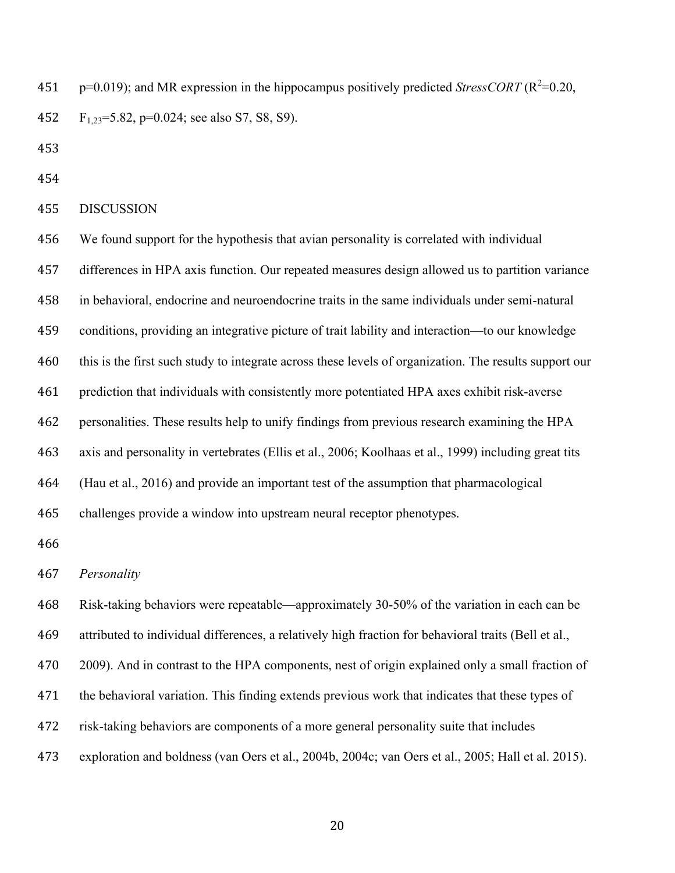451  $p=0.019$ ; and MR expression in the hippocampus positively predicted *StressCORT* ( $R^2$ =0.20, F1,23=5.82, p=0.024; see also S7, S8, S9).

DISCUSSION

 We found support for the hypothesis that avian personality is correlated with individual differences in HPA axis function. Our repeated measures design allowed us to partition variance in behavioral, endocrine and neuroendocrine traits in the same individuals under semi-natural conditions, providing an integrative picture of trait lability and interaction—to our knowledge this is the first such study to integrate across these levels of organization. The results support our prediction that individuals with consistently more potentiated HPA axes exhibit risk-averse personalities. These results help to unify findings from previous research examining the HPA axis and personality in vertebrates (Ellis et al., 2006; Koolhaas et al., 1999) including great tits (Hau et al., 2016) and provide an important test of the assumption that pharmacological challenges provide a window into upstream neural receptor phenotypes. 

*Personality*

 Risk-taking behaviors were repeatable—approximately 30-50% of the variation in each can be attributed to individual differences, a relatively high fraction for behavioral traits (Bell et al., 470 2009). And in contrast to the HPA components, nest of origin explained only a small fraction of the behavioral variation. This finding extends previous work that indicates that these types of risk-taking behaviors are components of a more general personality suite that includes exploration and boldness (van Oers et al., 2004b, 2004c; van Oers et al., 2005; Hall et al. 2015).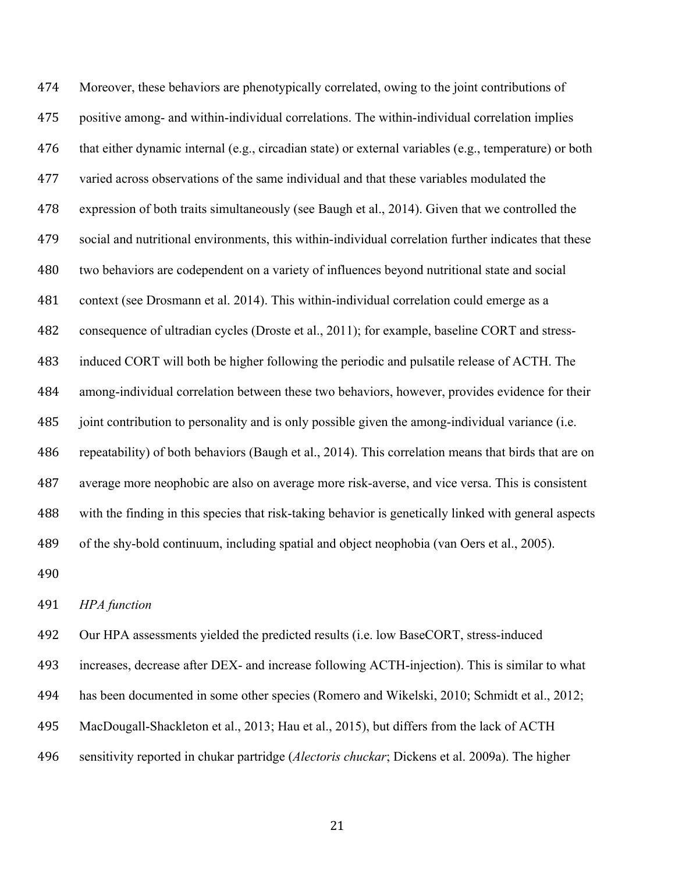Moreover, these behaviors are phenotypically correlated, owing to the joint contributions of positive among- and within-individual correlations. The within-individual correlation implies that either dynamic internal (e.g., circadian state) or external variables (e.g., temperature) or both varied across observations of the same individual and that these variables modulated the expression of both traits simultaneously (see Baugh et al., 2014). Given that we controlled the social and nutritional environments, this within-individual correlation further indicates that these two behaviors are codependent on a variety of influences beyond nutritional state and social context (see Drosmann et al. 2014). This within-individual correlation could emerge as a consequence of ultradian cycles (Droste et al., 2011); for example, baseline CORT and stress- induced CORT will both be higher following the periodic and pulsatile release of ACTH. The among-individual correlation between these two behaviors, however, provides evidence for their joint contribution to personality and is only possible given the among-individual variance (i.e. repeatability) of both behaviors (Baugh et al., 2014). This correlation means that birds that are on average more neophobic are also on average more risk-averse, and vice versa. This is consistent with the finding in this species that risk-taking behavior is genetically linked with general aspects of the shy-bold continuum, including spatial and object neophobia (van Oers et al., 2005). 

*HPA function*

Our HPA assessments yielded the predicted results (i.e. low BaseCORT, stress-induced

increases, decrease after DEX- and increase following ACTH-injection). This is similar to what

- has been documented in some other species (Romero and Wikelski, 2010; Schmidt et al., 2012;
- MacDougall-Shackleton et al., 2013; Hau et al., 2015), but differs from the lack of ACTH
- sensitivity reported in chukar partridge (*Alectoris chuckar*; Dickens et al. 2009a). The higher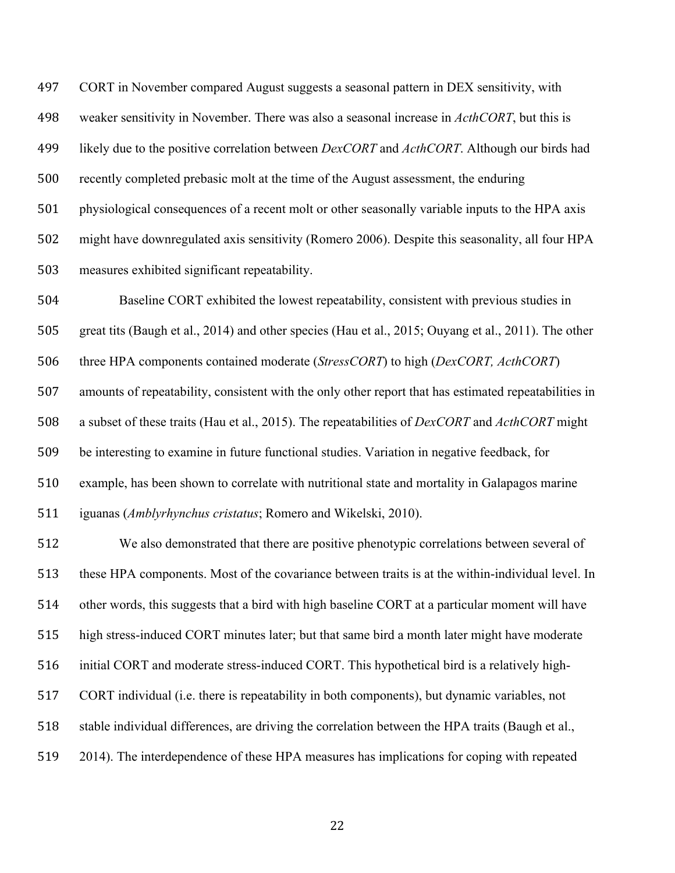CORT in November compared August suggests a seasonal pattern in DEX sensitivity, with weaker sensitivity in November. There was also a seasonal increase in *ActhCORT*, but this is likely due to the positive correlation between *DexCORT* and *ActhCORT*. Although our birds had recently completed prebasic molt at the time of the August assessment, the enduring physiological consequences of a recent molt or other seasonally variable inputs to the HPA axis might have downregulated axis sensitivity (Romero 2006). Despite this seasonality, all four HPA measures exhibited significant repeatability.

 Baseline CORT exhibited the lowest repeatability, consistent with previous studies in great tits (Baugh et al., 2014) and other species (Hau et al., 2015; Ouyang et al., 2011). The other

three HPA components contained moderate (*StressCORT*) to high (*DexCORT, ActhCORT*)

 amounts of repeatability, consistent with the only other report that has estimated repeatabilities in a subset of these traits (Hau et al., 2015). The repeatabilities of *DexCORT* and *ActhCORT* might be interesting to examine in future functional studies. Variation in negative feedback, for example, has been shown to correlate with nutritional state and mortality in Galapagos marine iguanas (*Amblyrhynchus cristatus*; Romero and Wikelski, 2010).

 We also demonstrated that there are positive phenotypic correlations between several of these HPA components. Most of the covariance between traits is at the within-individual level. In other words, this suggests that a bird with high baseline CORT at a particular moment will have high stress-induced CORT minutes later; but that same bird a month later might have moderate initial CORT and moderate stress-induced CORT. This hypothetical bird is a relatively high- CORT individual (i.e. there is repeatability in both components), but dynamic variables, not stable individual differences, are driving the correlation between the HPA traits (Baugh et al., 2014). The interdependence of these HPA measures has implications for coping with repeated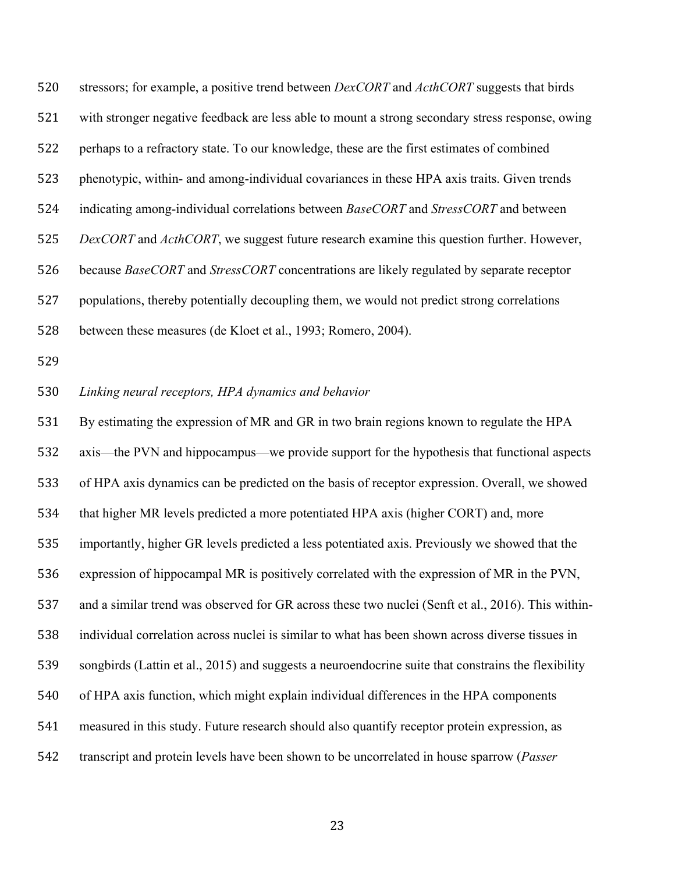stressors; for example, a positive trend between *DexCORT* and *ActhCORT* suggests that birds with stronger negative feedback are less able to mount a strong secondary stress response, owing perhaps to a refractory state. To our knowledge, these are the first estimates of combined phenotypic, within- and among-individual covariances in these HPA axis traits. Given trends indicating among-individual correlations between *BaseCORT* and *StressCORT* and between *DexCORT* and *ActhCORT*, we suggest future research examine this question further. However, because *BaseCORT* and *StressCORT* concentrations are likely regulated by separate receptor populations, thereby potentially decoupling them, we would not predict strong correlations between these measures (de Kloet et al., 1993; Romero, 2004).

*Linking neural receptors, HPA dynamics and behavior*

 By estimating the expression of MR and GR in two brain regions known to regulate the HPA axis—the PVN and hippocampus—we provide support for the hypothesis that functional aspects of HPA axis dynamics can be predicted on the basis of receptor expression. Overall, we showed that higher MR levels predicted a more potentiated HPA axis (higher CORT) and, more importantly, higher GR levels predicted a less potentiated axis. Previously we showed that the expression of hippocampal MR is positively correlated with the expression of MR in the PVN, and a similar trend was observed for GR across these two nuclei (Senft et al., 2016). This within- individual correlation across nuclei is similar to what has been shown across diverse tissues in songbirds (Lattin et al., 2015) and suggests a neuroendocrine suite that constrains the flexibility of HPA axis function, which might explain individual differences in the HPA components measured in this study. Future research should also quantify receptor protein expression, as transcript and protein levels have been shown to be uncorrelated in house sparrow (*Passer*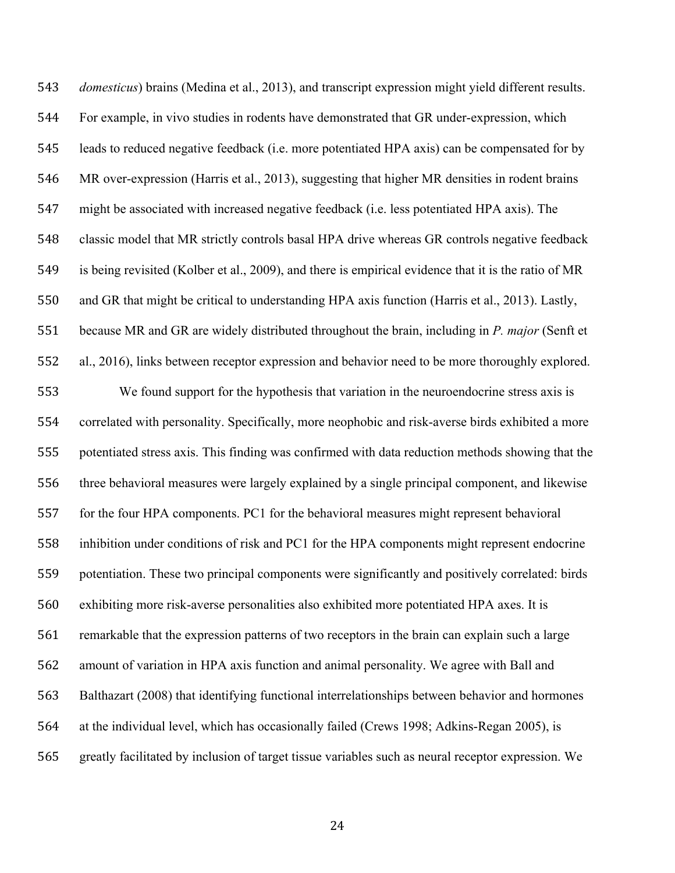*domesticus*) brains (Medina et al., 2013), and transcript expression might yield different results. For example, in vivo studies in rodents have demonstrated that GR under-expression, which leads to reduced negative feedback (i.e. more potentiated HPA axis) can be compensated for by MR over-expression (Harris et al., 2013), suggesting that higher MR densities in rodent brains might be associated with increased negative feedback (i.e. less potentiated HPA axis). The classic model that MR strictly controls basal HPA drive whereas GR controls negative feedback is being revisited (Kolber et al., 2009), and there is empirical evidence that it is the ratio of MR and GR that might be critical to understanding HPA axis function (Harris et al., 2013). Lastly, because MR and GR are widely distributed throughout the brain, including in *P. major* (Senft et al., 2016), links between receptor expression and behavior need to be more thoroughly explored.

 We found support for the hypothesis that variation in the neuroendocrine stress axis is correlated with personality. Specifically, more neophobic and risk-averse birds exhibited a more potentiated stress axis. This finding was confirmed with data reduction methods showing that the three behavioral measures were largely explained by a single principal component, and likewise for the four HPA components. PC1 for the behavioral measures might represent behavioral inhibition under conditions of risk and PC1 for the HPA components might represent endocrine potentiation. These two principal components were significantly and positively correlated: birds exhibiting more risk-averse personalities also exhibited more potentiated HPA axes. It is remarkable that the expression patterns of two receptors in the brain can explain such a large amount of variation in HPA axis function and animal personality. We agree with Ball and Balthazart (2008) that identifying functional interrelationships between behavior and hormones at the individual level, which has occasionally failed (Crews 1998; Adkins-Regan 2005), is greatly facilitated by inclusion of target tissue variables such as neural receptor expression. We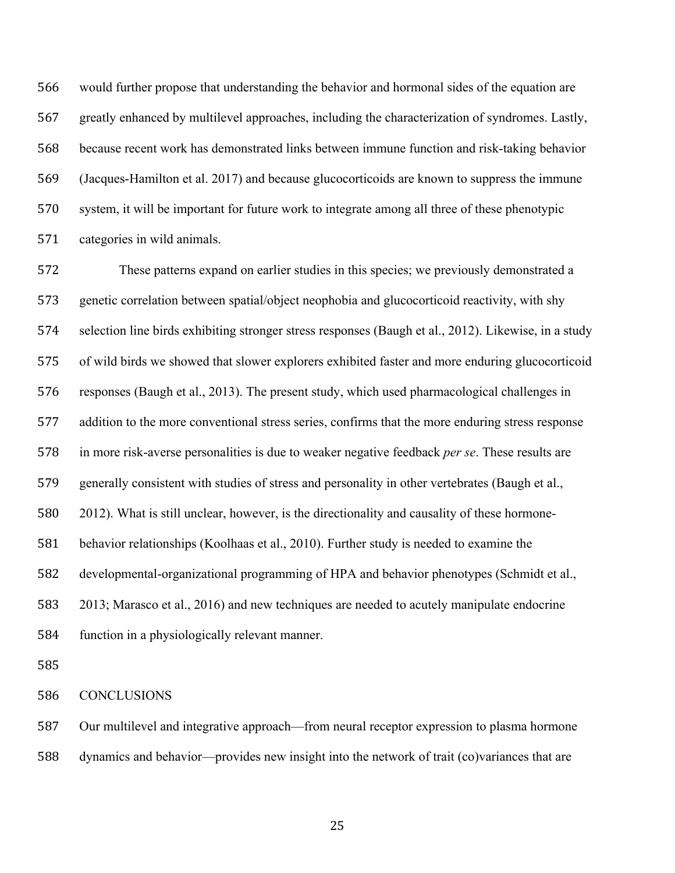would further propose that understanding the behavior and hormonal sides of the equation are greatly enhanced by multilevel approaches, including the characterization of syndromes. Lastly, because recent work has demonstrated links between immune function and risk-taking behavior (Jacques-Hamilton et al. 2017) and because glucocorticoids are known to suppress the immune system, it will be important for future work to integrate among all three of these phenotypic categories in wild animals.

 These patterns expand on earlier studies in this species; we previously demonstrated a genetic correlation between spatial/object neophobia and glucocorticoid reactivity, with shy selection line birds exhibiting stronger stress responses (Baugh et al., 2012). Likewise, in a study of wild birds we showed that slower explorers exhibited faster and more enduring glucocorticoid responses (Baugh et al., 2013). The present study, which used pharmacological challenges in addition to the more conventional stress series, confirms that the more enduring stress response in more risk-averse personalities is due to weaker negative feedback *per se*. These results are generally consistent with studies of stress and personality in other vertebrates (Baugh et al., 2012). What is still unclear, however, is the directionality and causality of these hormone- behavior relationships (Koolhaas et al., 2010). Further study is needed to examine the developmental-organizational programming of HPA and behavior phenotypes (Schmidt et al., 2013; Marasco et al., 2016) and new techniques are needed to acutely manipulate endocrine function in a physiologically relevant manner.

CONCLUSIONS

 Our multilevel and integrative approach—from neural receptor expression to plasma hormone dynamics and behavior—provides new insight into the network of trait (co)variances that are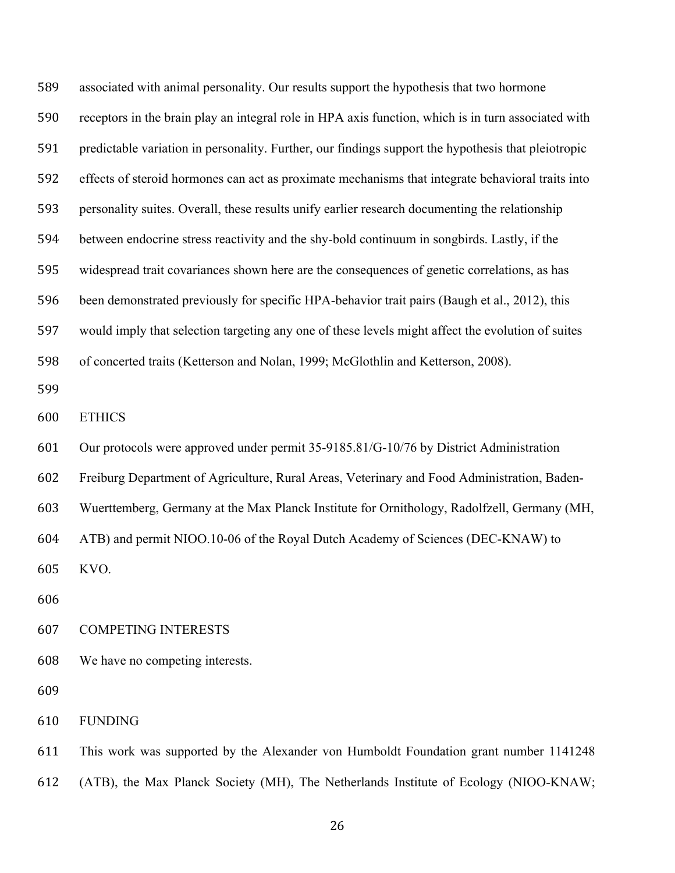associated with animal personality. Our results support the hypothesis that two hormone receptors in the brain play an integral role in HPA axis function, which is in turn associated with predictable variation in personality. Further, our findings support the hypothesis that pleiotropic effects of steroid hormones can act as proximate mechanisms that integrate behavioral traits into personality suites. Overall, these results unify earlier research documenting the relationship between endocrine stress reactivity and the shy-bold continuum in songbirds. Lastly, if the widespread trait covariances shown here are the consequences of genetic correlations, as has been demonstrated previously for specific HPA-behavior trait pairs (Baugh et al., 2012), this would imply that selection targeting any one of these levels might affect the evolution of suites of concerted traits (Ketterson and Nolan, 1999; McGlothlin and Ketterson, 2008). ETHICS Our protocols were approved under permit 35-9185.81/G-10/76 by District Administration Freiburg Department of Agriculture, Rural Areas, Veterinary and Food Administration, Baden- Wuerttemberg, Germany at the Max Planck Institute for Ornithology, Radolfzell, Germany (MH, ATB) and permit NIOO.10-06 of the Royal Dutch Academy of Sciences (DEC-KNAW) to KVO. COMPETING INTERESTS We have no competing interests. FUNDING

 This work was supported by the Alexander von Humboldt Foundation grant number 1141248 (ATB), the Max Planck Society (MH), The Netherlands Institute of Ecology (NIOO-KNAW;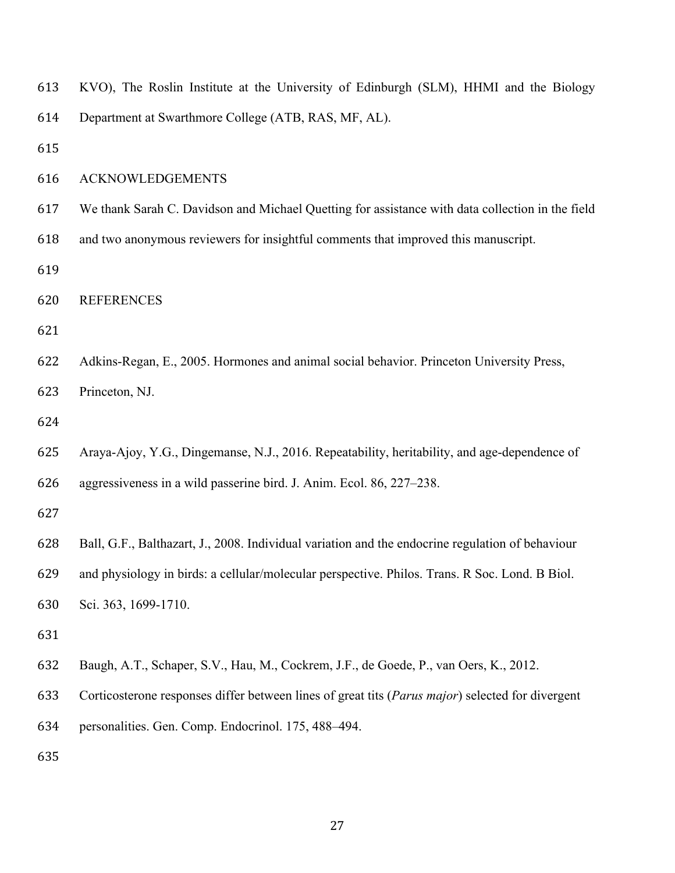| 613 | KVO), The Roslin Institute at the University of Edinburgh (SLM), HHMI and the Biology            |
|-----|--------------------------------------------------------------------------------------------------|
| 614 | Department at Swarthmore College (ATB, RAS, MF, AL).                                             |
| 615 |                                                                                                  |
| 616 | <b>ACKNOWLEDGEMENTS</b>                                                                          |
| 617 | We thank Sarah C. Davidson and Michael Quetting for assistance with data collection in the field |
| 618 | and two anonymous reviewers for insightful comments that improved this manuscript.               |
| 619 |                                                                                                  |
| 620 | <b>REFERENCES</b>                                                                                |
| 621 |                                                                                                  |
| 622 | Adkins-Regan, E., 2005. Hormones and animal social behavior. Princeton University Press,         |
| 623 | Princeton, NJ.                                                                                   |
| 624 |                                                                                                  |
| 625 | Araya-Ajoy, Y.G., Dingemanse, N.J., 2016. Repeatability, heritability, and age-dependence of     |
| 626 | aggressiveness in a wild passerine bird. J. Anim. Ecol. 86, 227–238.                             |
| 627 |                                                                                                  |
| 628 | Ball, G.F., Balthazart, J., 2008. Individual variation and the endocrine regulation of behaviour |
| 629 | and physiology in birds: a cellular/molecular perspective. Philos. Trans. R Soc. Lond. B Biol.   |
| 630 | Sci. 363, 1699-1710.                                                                             |
| 631 |                                                                                                  |
| 632 | Baugh, A.T., Schaper, S.V., Hau, M., Cockrem, J.F., de Goede, P., van Oers, K., 2012.            |
| 633 | Corticosterone responses differ between lines of great tits (Parus major) selected for divergent |
| 634 | personalities. Gen. Comp. Endocrinol. 175, 488-494.                                              |
| 635 |                                                                                                  |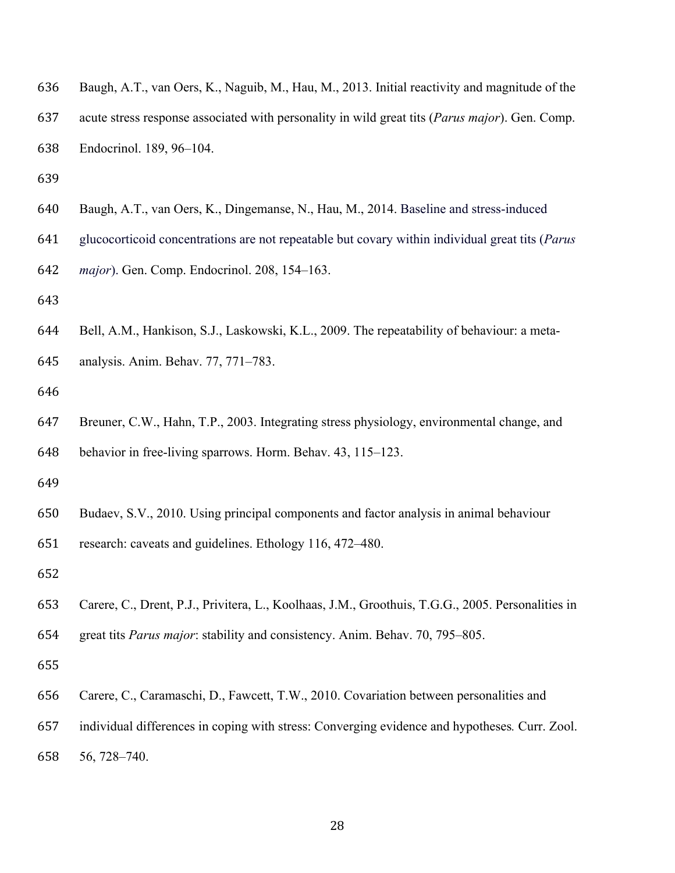| 636 | Baugh, A.T., van Oers, K., Naguib, M., Hau, M., 2013. Initial reactivity and magnitude of the           |
|-----|---------------------------------------------------------------------------------------------------------|
| 637 | acute stress response associated with personality in wild great tits ( <i>Parus major</i> ). Gen. Comp. |
| 638 | Endocrinol. 189, 96–104.                                                                                |
| 639 |                                                                                                         |

- Baugh, A.T., van Oers, K., Dingemanse, N., Hau, M., 2014. Baseline and stress-induced
- glucocorticoid concentrations are not repeatable but covary within individual great tits (*Parus*

*major*). Gen. Comp. Endocrinol. 208, 154–163.

- Bell, A.M., Hankison, S.J., Laskowski, K.L., 2009. The repeatability of behaviour: a meta-
- analysis. Anim. Behav. 77, 771–783.
- 
- Breuner, C.W., Hahn, T.P., 2003. Integrating stress physiology, environmental change, and behavior in free-living sparrows. Horm. Behav. 43, 115–123.
- 
- Budaev, S.V., 2010. Using principal components and factor analysis in animal behaviour

research: caveats and guidelines. Ethology 116, 472–480.

- Carere, C., Drent, P.J., Privitera, L., Koolhaas, J.M., Groothuis, T.G.G., 2005. Personalities in
- great tits *Parus major*: stability and consistency. Anim. Behav. 70, 795–805.

- Carere, C., Caramaschi, D., Fawcett, T.W., 2010. Covariation between personalities and
- individual differences in coping with stress: Converging evidence and hypotheses*.* Curr. Zool.
- 56, 728–740.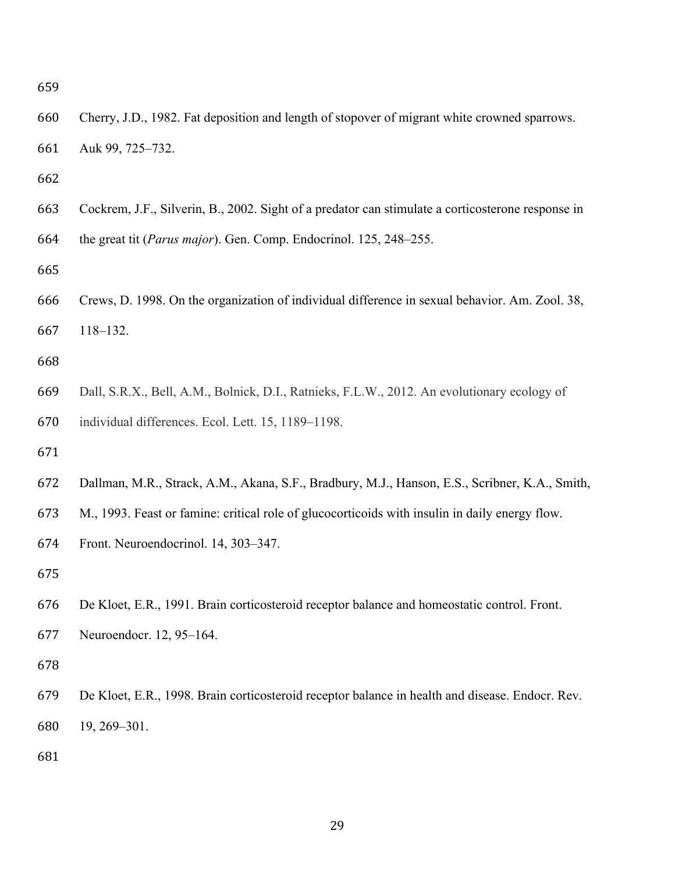- Cherry, J.D., 1982. Fat deposition and length of stopover of migrant white crowned sparrows. Auk 99, 725–732.
- 
- Cockrem, J.F., Silverin, B., 2002. Sight of a predator can stimulate a corticosterone response in
- the great tit (*Parus major*). Gen. Comp. Endocrinol. 125, 248–255.
- 
- Crews, D. 1998. On the organization of individual difference in sexual behavior. Am. Zool. 38, 118–132.
- 
- Dall, S.R.X., Bell, A.M., Bolnick, D.I., Ratnieks, F.L.W., 2012. An evolutionary ecology of individual differences. Ecol. Lett. 15, 1189–1198.
- 
- Dallman, M.R., Strack, A.M., Akana, S.F., Bradbury, M.J., Hanson, E.S., Scribner, K.A., Smith,
- M., 1993. Feast or famine: critical role of glucocorticoids with insulin in daily energy flow.
- Front. Neuroendocrinol. 14, 303–347.
- 
- De Kloet, E.R., 1991. Brain corticosteroid receptor balance and homeostatic control. Front.
- Neuroendocr. 12, 95–164.
- 
- De Kloet, E.R., 1998. Brain corticosteroid receptor balance in health and disease. Endocr. Rev. 19, 269–301.
-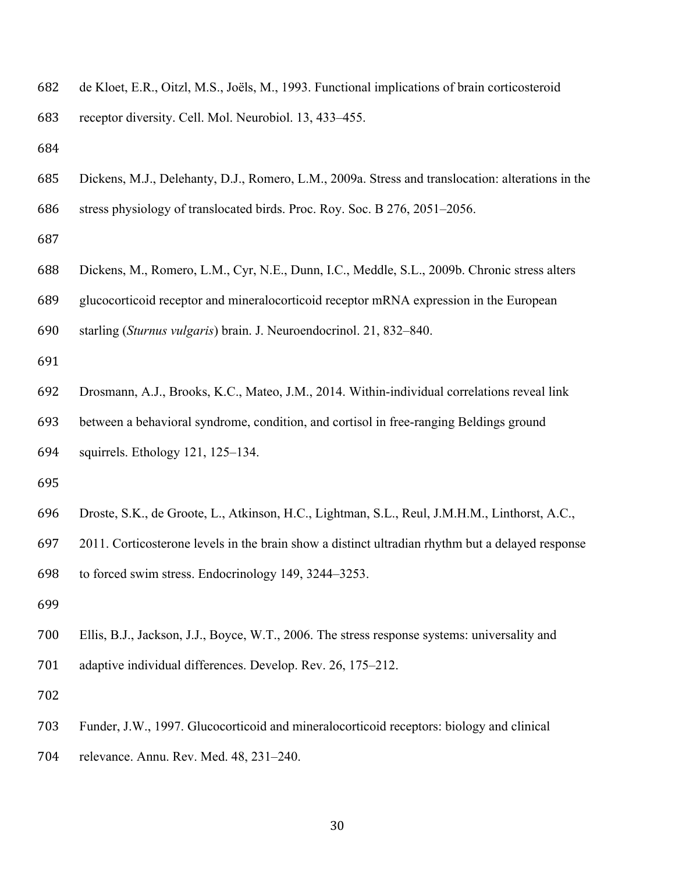de Kloet, E.R., Oitzl, M.S., Joëls, M., 1993. Functional implications of brain corticosteroid

receptor diversity. Cell. Mol. Neurobiol. 13, 433–455.

 Dickens, M.J., Delehanty, D.J., Romero, L.M., 2009a. Stress and translocation: alterations in the stress physiology of translocated birds. Proc. Roy. Soc. B 276, 2051–2056.

- Dickens, M., Romero, L.M., Cyr, N.E., Dunn, I.C., Meddle, S.L., 2009b. Chronic stress alters
- glucocorticoid receptor and mineralocorticoid receptor mRNA expression in the European

starling (*Sturnus vulgaris*) brain. J. Neuroendocrinol. 21, 832–840.

- Drosmann, A.J., Brooks, K.C., Mateo, J.M., 2014. Within-individual correlations reveal link
- between a behavioral syndrome, condition, and cortisol in free-ranging Beldings ground
- squirrels. Ethology 121, 125–134.
- 
- Droste, S.K., de Groote, L., Atkinson, H.C., Lightman, S.L., Reul, J.M.H.M., Linthorst, A.C.,
- 2011. Corticosterone levels in the brain show a distinct ultradian rhythm but a delayed response
- to forced swim stress. Endocrinology 149, 3244–3253.
- 
- Ellis, B.J., Jackson, J.J., Boyce, W.T., 2006. The stress response systems: universality and adaptive individual differences. Develop. Rev. 26, 175–212.
- 
- Funder, J.W., 1997. Glucocorticoid and mineralocorticoid receptors: biology and clinical
- relevance. Annu. Rev. Med. 48, 231–240.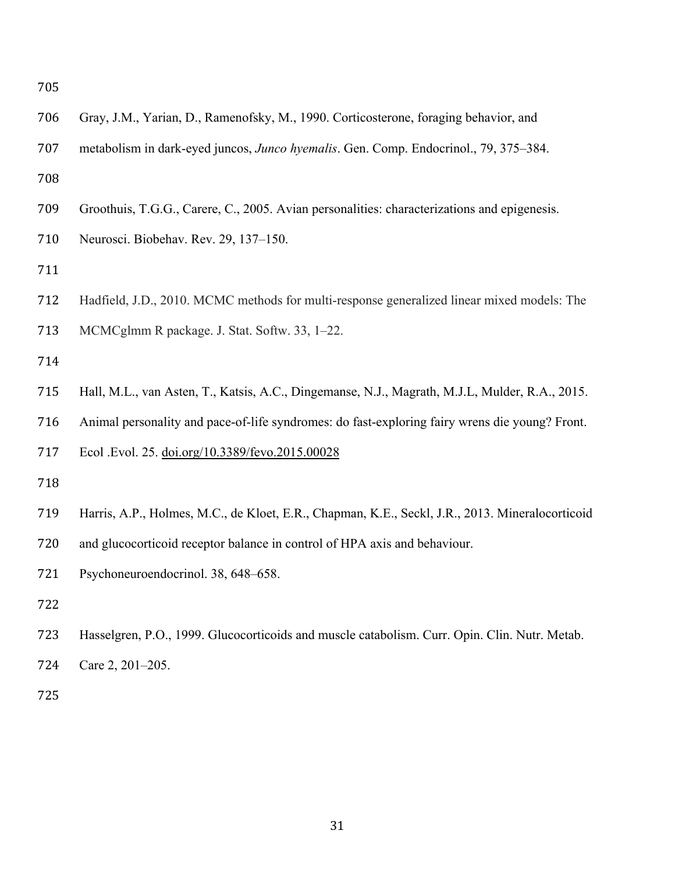| 706 | Gray, J.M., Yarian, D., Ramenofsky, M., 1990. Corticosterone, foraging behavior, and            |
|-----|-------------------------------------------------------------------------------------------------|
| 707 | metabolism in dark-eyed juncos, Junco hyemalis. Gen. Comp. Endocrinol., 79, 375–384.            |
| 708 |                                                                                                 |
| 709 | Groothuis, T.G.G., Carere, C., 2005. Avian personalities: characterizations and epigenesis.     |
| 710 | Neurosci. Biobehav. Rev. 29, 137-150.                                                           |
| 711 |                                                                                                 |
| 712 | Hadfield, J.D., 2010. MCMC methods for multi-response generalized linear mixed models: The      |
| 713 | MCMCglmm R package. J. Stat. Softw. 33, 1-22.                                                   |
| 714 |                                                                                                 |
| 715 | Hall, M.L., van Asten, T., Katsis, A.C., Dingemanse, N.J., Magrath, M.J.L, Mulder, R.A., 2015.  |
| 716 | Animal personality and pace-of-life syndromes: do fast-exploring fairy wrens die young? Front.  |
| 717 | Ecol .Evol. 25. doi.org/10.3389/fevo.2015.00028                                                 |
| 718 |                                                                                                 |
| 719 | Harris, A.P., Holmes, M.C., de Kloet, E.R., Chapman, K.E., Seckl, J.R., 2013. Mineralocorticoid |
| 720 | and glucocorticoid receptor balance in control of HPA axis and behaviour.                       |
| 721 | Psychoneuroendocrinol. 38, 648-658.                                                             |
| 722 |                                                                                                 |
| 723 | Hasselgren, P.O., 1999. Glucocorticoids and muscle catabolism. Curr. Opin. Clin. Nutr. Metab.   |
| 724 | Care 2, 201-205.                                                                                |
| 725 |                                                                                                 |
|     |                                                                                                 |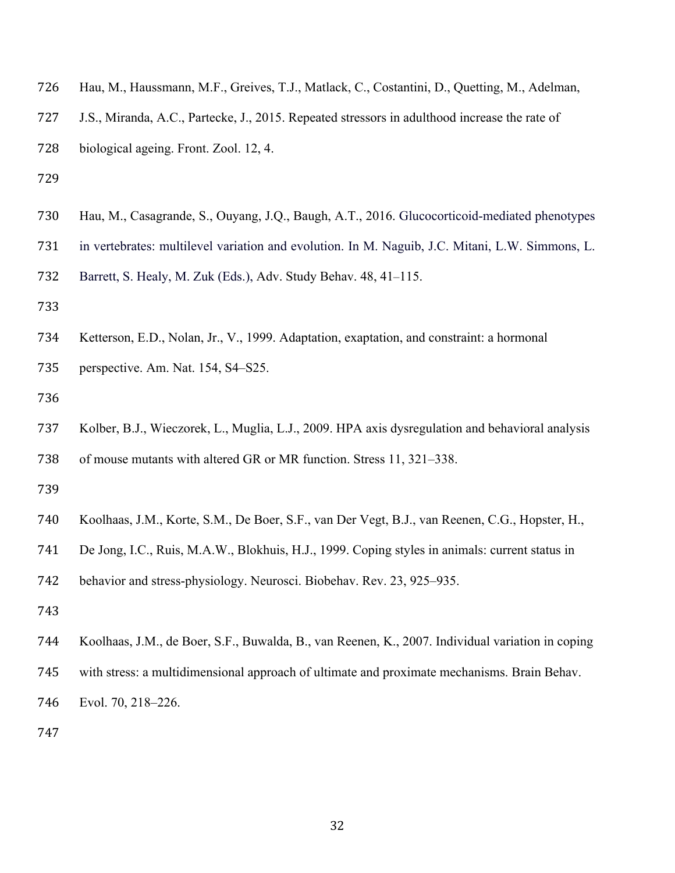- Hau, M., Haussmann, M.F., Greives, T.J., Matlack, C., Costantini, D., Quetting, M., Adelman,
- J.S., Miranda, A.C., Partecke, J., 2015. Repeated stressors in adulthood increase the rate of
- biological ageing. Front. Zool. 12, 4.
- 
- Hau, M., Casagrande, S., Ouyang, J.Q., Baugh, A.T., 2016. Glucocorticoid-mediated phenotypes
- in vertebrates: multilevel variation and evolution. In M. Naguib, J.C. Mitani, L.W. Simmons, L.

Barrett, S. Healy, M. Zuk (Eds.), Adv. Study Behav. 48, 41–115.

- 
- Ketterson, E.D., Nolan, Jr., V., 1999. Adaptation, exaptation, and constraint: a hormonal
- perspective. Am. Nat. 154, S4–S25.
- 
- Kolber, B.J., Wieczorek, L., Muglia, L.J., 2009. HPA axis dysregulation and behavioral analysis of mouse mutants with altered GR or MR function. Stress 11, 321–338.
- 
- Koolhaas, J.M., Korte, S.M., De Boer, S.F., van Der Vegt, B.J., van Reenen, C.G., Hopster, H.,
- De Jong, I.C., Ruis, M.A.W., Blokhuis, H.J., 1999. Coping styles in animals: current status in

behavior and stress-physiology. Neurosci. Biobehav. Rev. 23, 925–935.

- 
- Koolhaas, J.M., de Boer, S.F., Buwalda, B., van Reenen, K., 2007. Individual variation in coping
- with stress: a multidimensional approach of ultimate and proximate mechanisms. Brain Behav.
- Evol. 70, 218–226.
-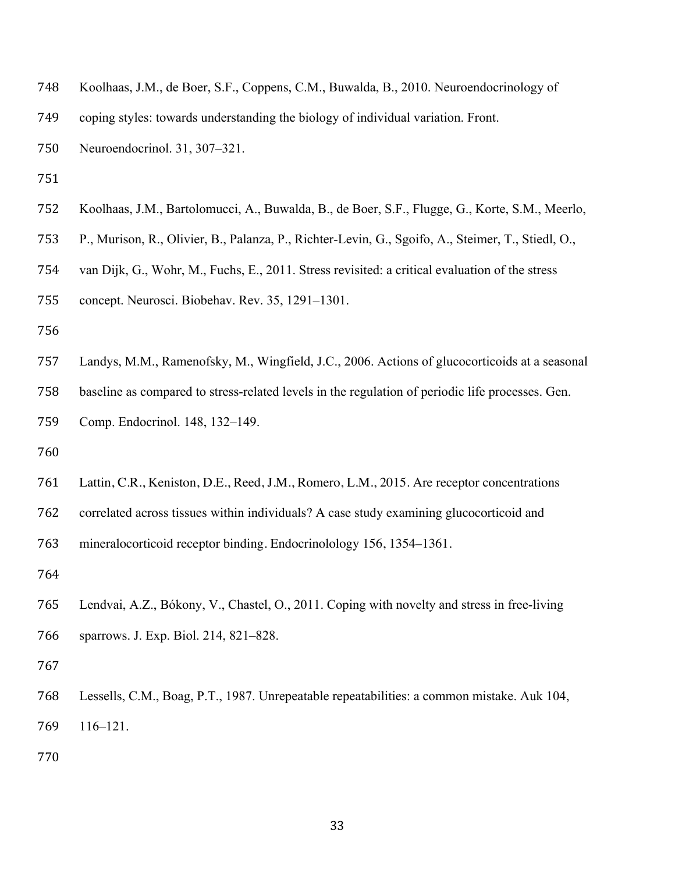- Koolhaas, J.M., de Boer, S.F., Coppens, C.M., Buwalda, B., 2010. Neuroendocrinology of
- coping styles: towards understanding the biology of individual variation. Front.
- Neuroendocrinol. 31, 307–321.
- 
- Koolhaas, J.M., Bartolomucci, A., Buwalda, B., de Boer, S.F., Flugge, G., Korte, S.M., Meerlo,
- P., Murison, R., Olivier, B., Palanza, P., Richter-Levin, G., Sgoifo, A., Steimer, T., Stiedl, O.,
- van Dijk, G., Wohr, M., Fuchs, E., 2011. Stress revisited: a critical evaluation of the stress
- concept. Neurosci. Biobehav. Rev. 35, 1291–1301.
- 
- Landys, M.M., Ramenofsky, M., Wingfield, J.C., 2006. Actions of glucocorticoids at a seasonal
- baseline as compared to stress-related levels in the regulation of periodic life processes. Gen.
- Comp. Endocrinol. 148, 132–149.
- 
- Lattin, C.R., Keniston, D.E., Reed, J.M., Romero, L.M., 2015. Are receptor concentrations
- correlated across tissues within individuals? A case study examining glucocorticoid and
- mineralocorticoid receptor binding. Endocrinolology 156, 1354–1361.
- 
- Lendvai, A.Z., Bókony, V., Chastel, O., 2011. Coping with novelty and stress in free-living sparrows. J. Exp. Biol. 214, 821–828.
- 
- Lessells, C.M., Boag, P.T., 1987. Unrepeatable repeatabilities: a common mistake. Auk 104, 116–121.
-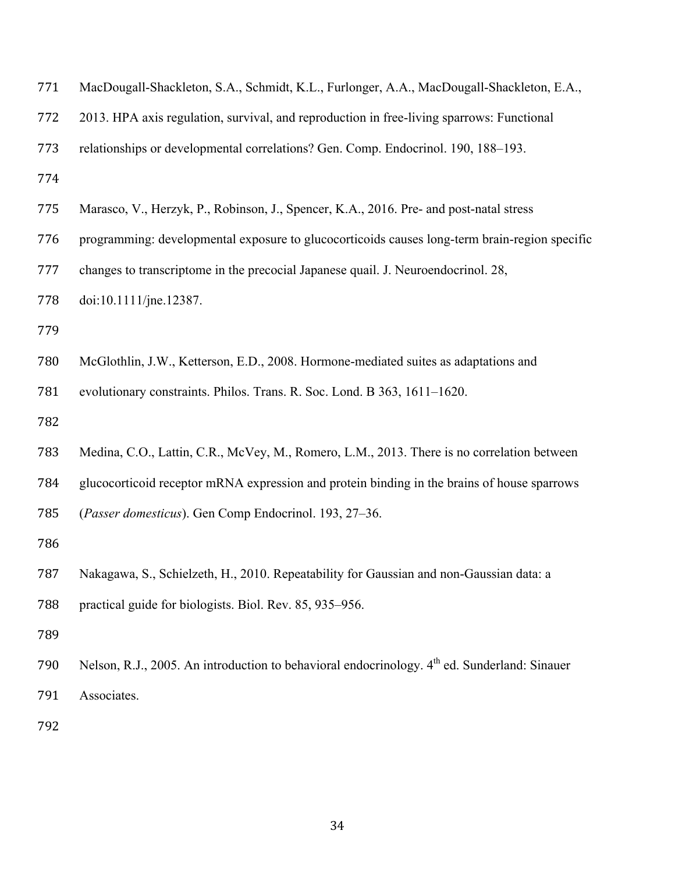| 771 | MacDougall-Shackleton, S.A., Schmidt, K.L., Furlonger, A.A., MacDougall-Shackleton, E.A.,                |  |  |  |  |  |
|-----|----------------------------------------------------------------------------------------------------------|--|--|--|--|--|
| 772 | 2013. HPA axis regulation, survival, and reproduction in free-living sparrows: Functional                |  |  |  |  |  |
| 773 | relationships or developmental correlations? Gen. Comp. Endocrinol. 190, 188–193.                        |  |  |  |  |  |
| 774 |                                                                                                          |  |  |  |  |  |
| 775 | Marasco, V., Herzyk, P., Robinson, J., Spencer, K.A., 2016. Pre- and post-natal stress                   |  |  |  |  |  |
| 776 | programming: developmental exposure to glucocorticoids causes long-term brain-region specific            |  |  |  |  |  |
| 777 | changes to transcriptome in the precocial Japanese quail. J. Neuroendocrinol. 28,                        |  |  |  |  |  |
| 778 | doi:10.1111/jne.12387.                                                                                   |  |  |  |  |  |
| 779 |                                                                                                          |  |  |  |  |  |
| 780 | McGlothlin, J.W., Ketterson, E.D., 2008. Hormone-mediated suites as adaptations and                      |  |  |  |  |  |
| 781 | evolutionary constraints. Philos. Trans. R. Soc. Lond. B 363, 1611-1620.                                 |  |  |  |  |  |
| 782 |                                                                                                          |  |  |  |  |  |
| 783 | Medina, C.O., Lattin, C.R., McVey, M., Romero, L.M., 2013. There is no correlation between               |  |  |  |  |  |
| 784 | glucocorticoid receptor mRNA expression and protein binding in the brains of house sparrows              |  |  |  |  |  |
| 785 | (Passer domesticus). Gen Comp Endocrinol. 193, 27-36.                                                    |  |  |  |  |  |
| 786 |                                                                                                          |  |  |  |  |  |
| 787 | Nakagawa, S., Schielzeth, H., 2010. Repeatability for Gaussian and non-Gaussian data: a                  |  |  |  |  |  |
| 788 | practical guide for biologists. Biol. Rev. 85, 935–956.                                                  |  |  |  |  |  |
| 789 |                                                                                                          |  |  |  |  |  |
| 790 | Nelson, R.J., 2005. An introduction to behavioral endocrinology. 4 <sup>th</sup> ed. Sunderland: Sinauer |  |  |  |  |  |
| 791 | Associates.                                                                                              |  |  |  |  |  |
| 792 |                                                                                                          |  |  |  |  |  |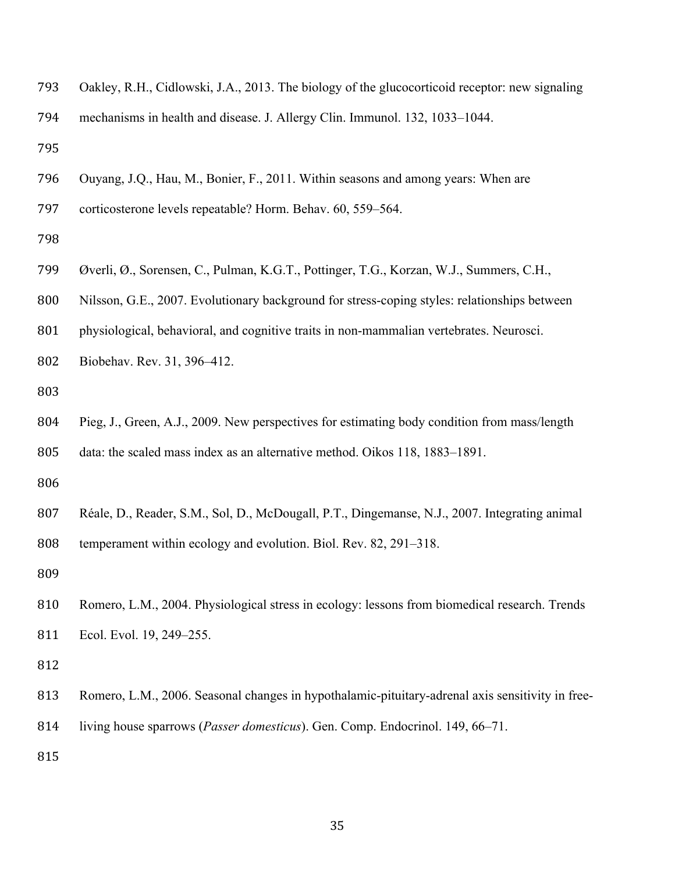- Oakley, R.H., Cidlowski, J.A., 2013. The biology of the glucocorticoid receptor: new signaling
- mechanisms in health and disease. J. Allergy Clin. Immunol. 132, 1033–1044.
- 
- Ouyang, J.Q., Hau, M., Bonier, F., 2011. Within seasons and among years: When are
- corticosterone levels repeatable? Horm. Behav. 60, 559–564.
- 
- Øverli, Ø., Sorensen, C., Pulman, K.G.T., Pottinger, T.G., Korzan, W.J., Summers, C.H.,
- Nilsson, G.E., 2007. Evolutionary background for stress-coping styles: relationships between
- physiological, behavioral, and cognitive traits in non-mammalian vertebrates. Neurosci.
- Biobehav. Rev. 31, 396–412.
- 
- Pieg, J., Green, A.J., 2009. New perspectives for estimating body condition from mass/length data: the scaled mass index as an alternative method. Oikos 118, 1883–1891.
- 
- Réale, D., Reader, S.M., Sol, D., McDougall, P.T., Dingemanse, N.J., 2007. Integrating animal temperament within ecology and evolution. Biol. Rev. 82, 291–318.
- 
- Romero, L.M., 2004. Physiological stress in ecology: lessons from biomedical research. Trends Ecol. Evol. 19, 249–255.
- 
- Romero, L.M., 2006. Seasonal changes in hypothalamic-pituitary-adrenal axis sensitivity in free-
- living house sparrows (*Passer domesticus*). Gen. Comp. Endocrinol. 149, 66–71.
-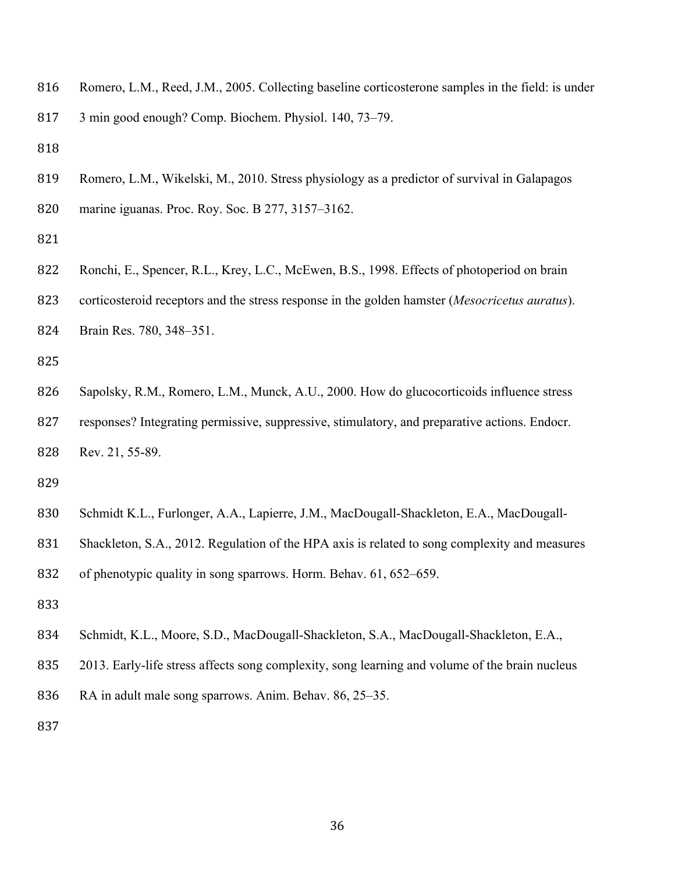Romero, L.M., Reed, J.M., 2005. Collecting baseline corticosterone samples in the field: is under

3 min good enough? Comp. Biochem. Physiol. 140, 73–79.

 Romero, L.M., Wikelski, M., 2010. Stress physiology as a predictor of survival in Galapagos marine iguanas. Proc. Roy. Soc. B 277, 3157–3162.

822 Ronchi, E., Spencer, R.L., Krey, L.C., McEwen, B.S., 1998. Effects of photoperiod on brain corticosteroid receptors and the stress response in the golden hamster (*Mesocricetus auratus*). Brain Res. 780, 348–351.

 Sapolsky, R.M., Romero, L.M., Munck, A.U., 2000. How do glucocorticoids influence stress 827 responses? Integrating permissive, suppressive, stimulatory, and preparative actions. Endocr. Rev. 21, 55-89.

- Schmidt K.L., Furlonger, A.A., Lapierre, J.M., MacDougall-Shackleton, E.A., MacDougall-
- Shackleton, S.A., 2012. Regulation of the HPA axis is related to song complexity and measures

of phenotypic quality in song sparrows. Horm. Behav. 61, 652–659.

- 
- Schmidt, K.L., Moore, S.D., MacDougall-Shackleton, S.A., MacDougall-Shackleton, E.A.,
- 2013. Early-life stress affects song complexity, song learning and volume of the brain nucleus
- RA in adult male song sparrows. Anim. Behav. 86, 25–35.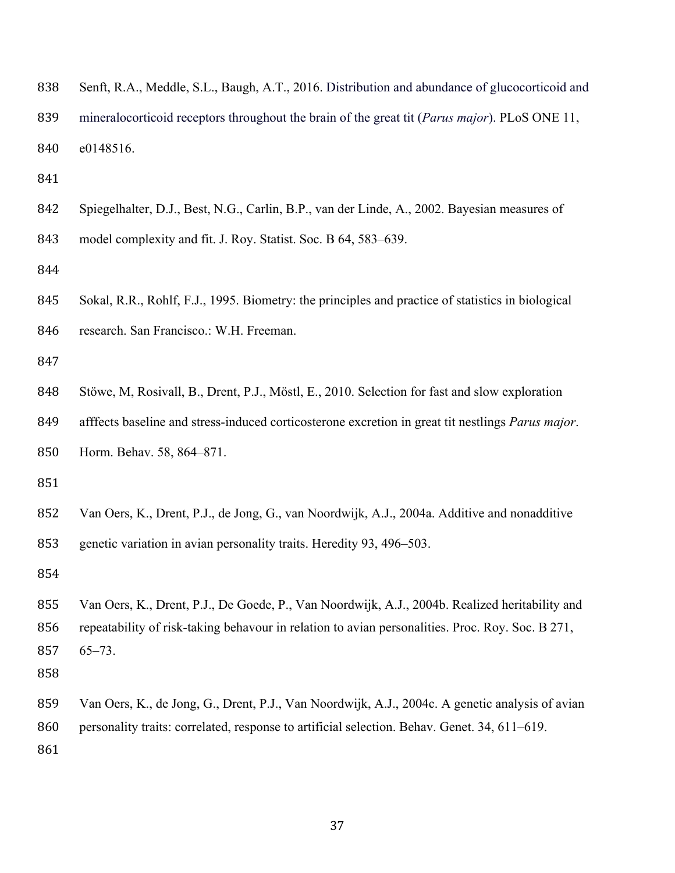|  |  |  | 838 Senft, R.A., Meddle, S.L., Baugh, A.T., 2016. Distribution and abundance of glucocorticoid and |  |
|--|--|--|----------------------------------------------------------------------------------------------------|--|
|  |  |  |                                                                                                    |  |

 mineralocorticoid receptors throughout the brain of the great tit (*Parus major*). PLoS ONE 11, e0148516.

Spiegelhalter, D.J., Best, N.G., Carlin, B.P., van der Linde, A., 2002. Bayesian measures of

model complexity and fit. J. Roy. Statist. Soc. B 64, 583–639.

 Sokal, R.R., Rohlf, F.J., 1995. Biometry: the principles and practice of statistics in biological 846 research. San Francisco.: W.H. Freeman.

Stöwe, M, Rosivall, B., Drent, P.J., Möstl, E., 2010. Selection for fast and slow exploration

afffects baseline and stress-induced corticosterone excretion in great tit nestlings *Parus major*.

Horm. Behav. 58, 864–871.

 Van Oers, K., Drent, P.J., de Jong, G., van Noordwijk, A.J., 2004a. Additive and nonadditive genetic variation in avian personality traits. Heredity 93, 496–503.

 Van Oers, K., Drent, P.J., De Goede, P., Van Noordwijk, A.J., 2004b. Realized heritability and repeatability of risk-taking behavour in relation to avian personalities. Proc. Roy. Soc. B 271, 65–73.

 Van Oers, K., de Jong, G., Drent, P.J., Van Noordwijk, A.J., 2004c. A genetic analysis of avian 860 personality traits: correlated, response to artificial selection. Behav. Genet. 34, 611–619.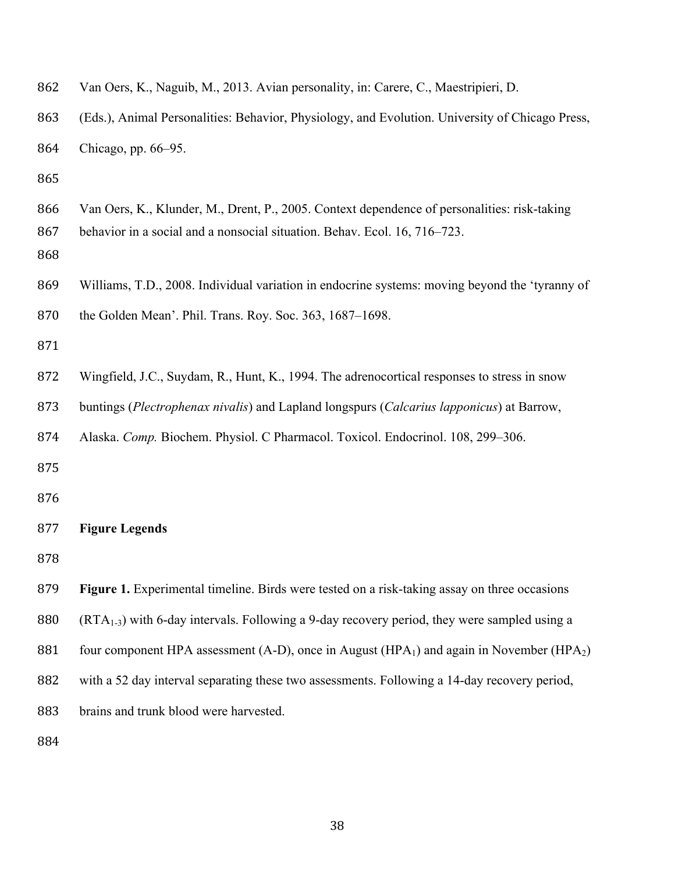| 862               | Van Oers, K., Naguib, M., 2013. Avian personality, in: Carere, C., Maestripieri, D.                                                                                       |
|-------------------|---------------------------------------------------------------------------------------------------------------------------------------------------------------------------|
| 863               | (Eds.), Animal Personalities: Behavior, Physiology, and Evolution. University of Chicago Press,                                                                           |
| 864               | Chicago, pp. 66-95.                                                                                                                                                       |
| 865               |                                                                                                                                                                           |
| 866<br>867<br>868 | Van Oers, K., Klunder, M., Drent, P., 2005. Context dependence of personalities: risk-taking<br>behavior in a social and a nonsocial situation. Behav. Ecol. 16, 716–723. |
| 869               | Williams, T.D., 2008. Individual variation in endocrine systems: moving beyond the 'tyranny of                                                                            |
| 870               | the Golden Mean'. Phil. Trans. Roy. Soc. 363, 1687–1698.                                                                                                                  |
| 871               |                                                                                                                                                                           |
| 872               | Wingfield, J.C., Suydam, R., Hunt, K., 1994. The adrenocortical responses to stress in snow                                                                               |
| 873               | buntings (Plectrophenax nivalis) and Lapland longspurs (Calcarius lapponicus) at Barrow,                                                                                  |
| 874               | Alaska. Comp. Biochem. Physiol. C Pharmacol. Toxicol. Endocrinol. 108, 299-306.                                                                                           |
| 875               |                                                                                                                                                                           |
| 876               |                                                                                                                                                                           |
| 877               | <b>Figure Legends</b>                                                                                                                                                     |
| 878               |                                                                                                                                                                           |
| 879               | Figure 1. Experimental timeline. Birds were tested on a risk-taking assay on three occasions                                                                              |
| 880               | $(RTA_{1-3})$ with 6-day intervals. Following a 9-day recovery period, they were sampled using a                                                                          |
| 881               | four component HPA assessment (A-D), once in August (HPA <sub>1</sub> ) and again in November (HPA <sub>2</sub> )                                                         |
| 882               | with a 52 day interval separating these two assessments. Following a 14-day recovery period,                                                                              |
| 883               | brains and trunk blood were harvested.                                                                                                                                    |
| 884               |                                                                                                                                                                           |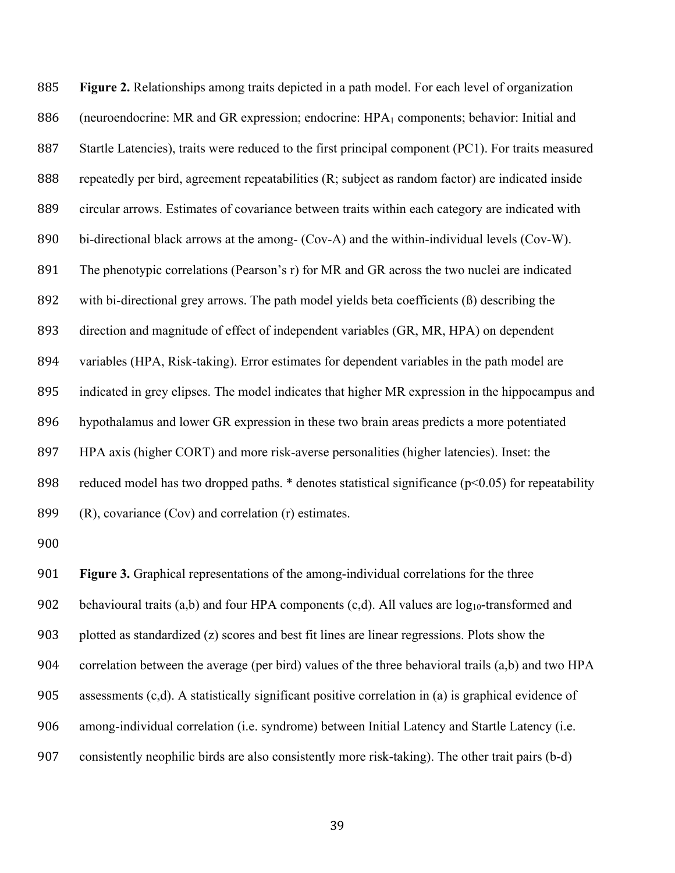**Figure 2.** Relationships among traits depicted in a path model. For each level of organization 886 (neuroendocrine: MR and GR expression; endocrine: HPA<sub>1</sub> components; behavior: Initial and Startle Latencies), traits were reduced to the first principal component (PC1). For traits measured repeatedly per bird, agreement repeatabilities (R; subject as random factor) are indicated inside circular arrows. Estimates of covariance between traits within each category are indicated with bi-directional black arrows at the among- (Cov-A) and the within-individual levels (Cov-W). The phenotypic correlations (Pearson's r) for MR and GR across the two nuclei are indicated with bi-directional grey arrows. The path model yields beta coefficients (ß) describing the direction and magnitude of effect of independent variables (GR, MR, HPA) on dependent variables (HPA, Risk-taking). Error estimates for dependent variables in the path model are indicated in grey elipses. The model indicates that higher MR expression in the hippocampus and hypothalamus and lower GR expression in these two brain areas predicts a more potentiated HPA axis (higher CORT) and more risk-averse personalities (higher latencies). Inset: the 898 reduced model has two dropped paths.  $*$  denotes statistical significance ( $p<0.05$ ) for repeatability (R), covariance (Cov) and correlation (r) estimates.

 **Figure 3.** Graphical representations of the among-individual correlations for the three 902 behavioural traits (a,b) and four HPA components (c,d). All values are  $log_{10}$ -transformed and plotted as standardized (z) scores and best fit lines are linear regressions. Plots show the correlation between the average (per bird) values of the three behavioral trails (a,b) and two HPA assessments (c,d). A statistically significant positive correlation in (a) is graphical evidence of among-individual correlation (i.e. syndrome) between Initial Latency and Startle Latency (i.e. consistently neophilic birds are also consistently more risk-taking). The other trait pairs (b-d)